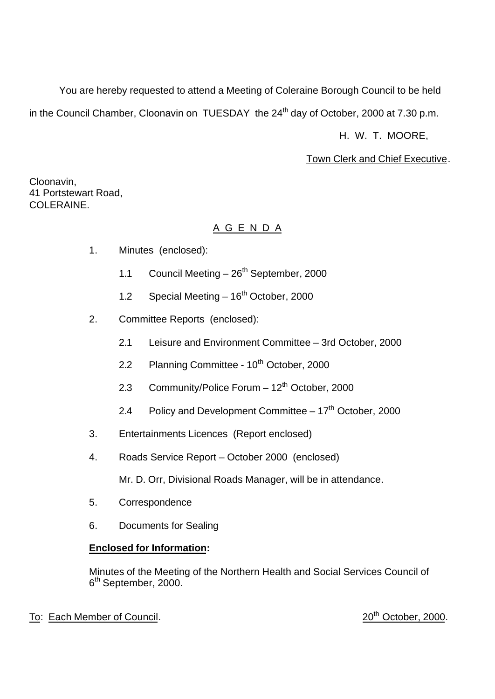You are hereby requested to attend a Meeting of Coleraine Borough Council to be held

in the Council Chamber, Cloonavin on TUESDAY the  $24<sup>th</sup>$  day of October, 2000 at 7.30 p.m.

H. W. T. MOORE,

Town Clerk and Chief Executive.

Cloonavin, 41 Portstewart Road, COLERAINE.

# A G E N D A

- 1. Minutes (enclosed):
	- 1.1 Council Meeting  $-26<sup>th</sup>$  September, 2000
	- 1.2 Special Meeting  $-16^{th}$  October, 2000
- 2. Committee Reports (enclosed):
	- 2.1 Leisure and Environment Committee 3rd October, 2000
	- 2.2 Planning Committee 10<sup>th</sup> October, 2000
	- 2.3 Community/Police Forum  $-12^{th}$  October, 2000
	- 2.4 Policy and Development Committee  $-17<sup>th</sup>$  October, 2000
- 3. Entertainments Licences (Report enclosed)
- 4. Roads Service Report October 2000 (enclosed)

Mr. D. Orr, Divisional Roads Manager, will be in attendance.

- 5. Correspondence
- 6. Documents for Sealing

# **Enclosed for Information:**

Minutes of the Meeting of the Northern Health and Social Services Council of 6<sup>th</sup> September, 2000.

To: Each Member of Council. 2000.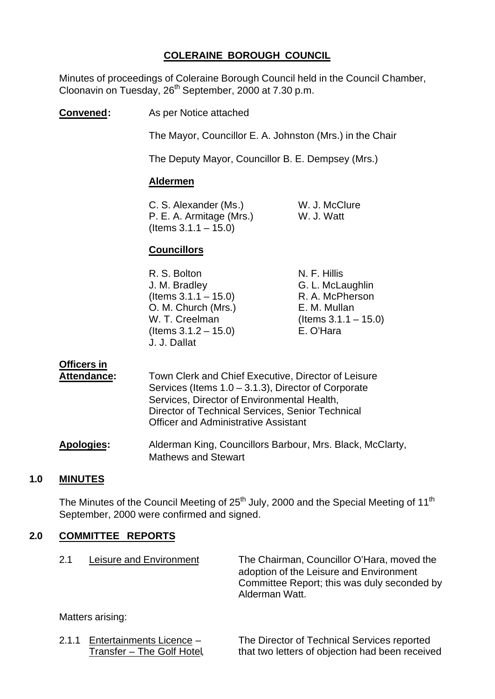## **COLERAINE BOROUGH COUNCIL**

Minutes of proceedings of Coleraine Borough Council held in the Council Chamber, Cloonavin on Tuesday, 26th September, 2000 at 7.30 p.m.

**Convened:** As per Notice attached

The Mayor, Councillor E. A. Johnston (Mrs.) in the Chair

The Deputy Mayor, Councillor B. E. Dempsey (Mrs.)

## **Aldermen**

C. S. Alexander (Ms.) W. J. McClure P. E. A. Armitage (Mrs.) W. J. Watt  $($  Items 3.1.1 – 15.0)

## **Councillors**

| R. S. Bolton            | N. F. Hillis            |
|-------------------------|-------------------------|
| J. M. Bradley           | G. L. McLaughlin        |
| (Items $3.1.1 - 15.0$ ) | R. A. McPherson         |
| O. M. Church (Mrs.)     | E. M. Mullan            |
| W. T. Creelman          | (Items $3.1.1 - 15.0$ ) |
| (Items $3.1.2 - 15.0$ ) | E. O'Hara               |
| J. J. Dallat            |                         |

# **Officers in**

| Attendance: | Town Clerk and Chief Executive, Director of Leisure    |
|-------------|--------------------------------------------------------|
|             | Services (Items $1.0 - 3.1.3$ ), Director of Corporate |
|             | Services, Director of Environmental Health,            |
|             | Director of Technical Services, Senior Technical       |
|             | <b>Officer and Administrative Assistant</b>            |
|             |                                                        |

**Apologies:** Alderman King, Councillors Barbour, Mrs. Black, McClarty, Mathews and Stewart

## **1.0 MINUTES**

The Minutes of the Council Meeting of  $25<sup>th</sup>$  July, 2000 and the Special Meeting of 11<sup>th</sup> September, 2000 were confirmed and signed.

#### **2.0 COMMITTEE REPORTS**

| 2.1 | Leisure and Environment | The Chairman, Councillor O'Hara, moved the<br>adoption of the Leisure and Environment<br>Committee Report; this was duly seconded by<br>Alderman Watt. |
|-----|-------------------------|--------------------------------------------------------------------------------------------------------------------------------------------------------|
|     |                         |                                                                                                                                                        |

Matters arising:

2.1.1 Entertainments Licence – The Director of Technical Services reported Transfer – The Golf Hotel, that two letters of objection had been received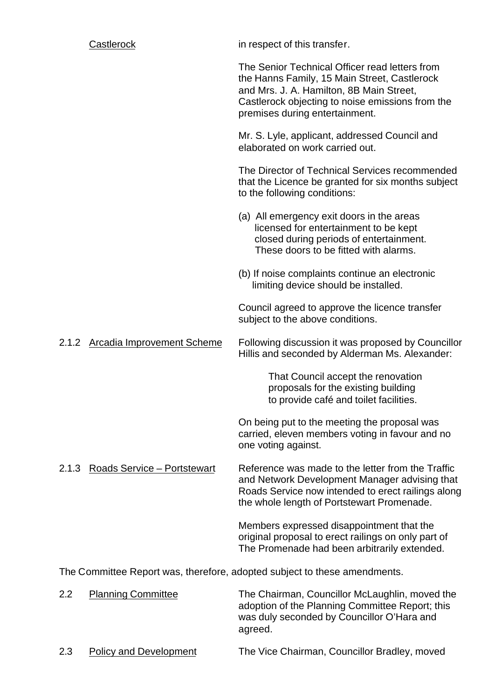|       | Castlerock                         | in respect of this transfer.                                                                                                                                                                                                     |
|-------|------------------------------------|----------------------------------------------------------------------------------------------------------------------------------------------------------------------------------------------------------------------------------|
|       |                                    | The Senior Technical Officer read letters from<br>the Hanns Family, 15 Main Street, Castlerock<br>and Mrs. J. A. Hamilton, 8B Main Street,<br>Castlerock objecting to noise emissions from the<br>premises during entertainment. |
|       |                                    | Mr. S. Lyle, applicant, addressed Council and<br>elaborated on work carried out.                                                                                                                                                 |
|       |                                    | The Director of Technical Services recommended<br>that the Licence be granted for six months subject<br>to the following conditions:                                                                                             |
|       |                                    | (a) All emergency exit doors in the areas<br>licensed for entertainment to be kept<br>closed during periods of entertainment.<br>These doors to be fitted with alarms.                                                           |
|       |                                    | (b) If noise complaints continue an electronic<br>limiting device should be installed.                                                                                                                                           |
|       |                                    | Council agreed to approve the licence transfer<br>subject to the above conditions.                                                                                                                                               |
| 2.1.2 | <b>Arcadia Improvement Scheme</b>  | Following discussion it was proposed by Councillor<br>Hillis and seconded by Alderman Ms. Alexander:                                                                                                                             |
|       |                                    | That Council accept the renovation<br>proposals for the existing building<br>to provide café and toilet facilities.                                                                                                              |
|       |                                    | On being put to the meeting the proposal was<br>carried, eleven members voting in favour and no<br>one voting against.                                                                                                           |
| 2.1.3 | <b>Roads Service - Portstewart</b> | Reference was made to the letter from the Traffic<br>and Network Development Manager advising that<br>Roads Service now intended to erect railings along<br>the whole length of Portstewart Promenade.                           |
|       |                                    | Members expressed disappointment that the<br>original proposal to erect railings on only part of<br>The Promenade had been arbitrarily extended.                                                                                 |
|       |                                    | The Committee Report was, therefore, adopted subject to these amendments.                                                                                                                                                        |
| 2.2   | <b>Planning Committee</b>          | The Chairman, Councillor McLaughlin, moved the<br>adoption of the Planning Committee Report; this<br>was duly seconded by Councillor O'Hara and                                                                                  |

2.3 Policy and Development The Vice Chairman, Councillor Bradley, moved

agreed.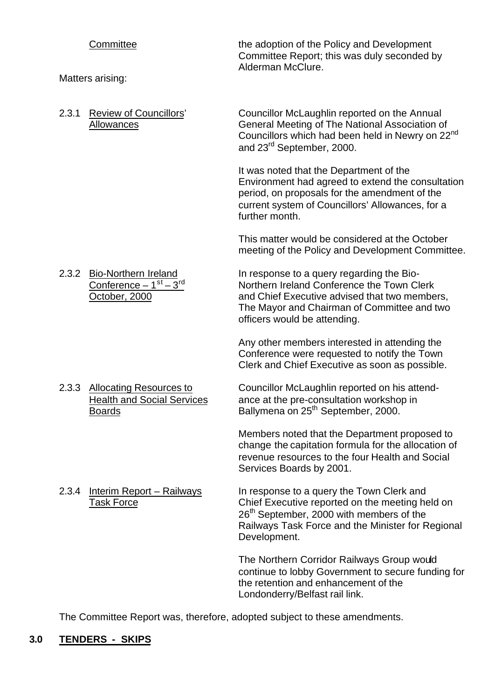| Committee<br>Matters arising:                                                       | the adoption of the Policy and Development<br>Committee Report; this was duly seconded by<br>Alderman McClure.                                                                                                            |
|-------------------------------------------------------------------------------------|---------------------------------------------------------------------------------------------------------------------------------------------------------------------------------------------------------------------------|
| 2.3.1<br>Review of Councillors'<br>Allowances                                       | Councillor McLaughlin reported on the Annual<br>General Meeting of The National Association of<br>Councillors which had been held in Newry on 22 <sup>nd</sup><br>and 23 <sup>rd</sup> September, 2000.                   |
|                                                                                     | It was noted that the Department of the<br>Environment had agreed to extend the consultation<br>period, on proposals for the amendment of the<br>current system of Councillors' Allowances, for a<br>further month.       |
|                                                                                     | This matter would be considered at the October<br>meeting of the Policy and Development Committee.                                                                                                                        |
| 2.3.2<br><b>Bio-Northern Ireland</b><br>Conference $-1st - 3rd$<br>October, 2000    | In response to a query regarding the Bio-<br>Northern Ireland Conference the Town Clerk<br>and Chief Executive advised that two members,<br>The Mayor and Chairman of Committee and two<br>officers would be attending.   |
|                                                                                     | Any other members interested in attending the<br>Conference were requested to notify the Town<br>Clerk and Chief Executive as soon as possible.                                                                           |
| 2.3.3 Allocating Resources to<br><b>Health and Social Services</b><br><b>Boards</b> | Councillor McLaughlin reported on his attend-<br>ance at the pre-consultation workshop in<br>Ballymena on 25 <sup>th</sup> September, 2000.                                                                               |
|                                                                                     | Members noted that the Department proposed to<br>change the capitation formula for the allocation of<br>revenue resources to the four Health and Social<br>Services Boards by 2001.                                       |
| <b>Interim Report - Railways</b><br>2.3.4<br><b>Task Force</b>                      | In response to a query the Town Clerk and<br>Chief Executive reported on the meeting held on<br>26 <sup>th</sup> September, 2000 with members of the<br>Railways Task Force and the Minister for Regional<br>Development. |
|                                                                                     | The Northern Corridor Railways Group would<br>continue to lobby Government to secure funding for<br>the retention and enhancement of the<br>Londonderry/Belfast rail link.                                                |
| Committoo Donort was thoroforo                                                      | adopted qubiest to these emendments                                                                                                                                                                                       |

The Committee Report was, therefore, adopted subject to these amendments.

# **3.0 TENDERS - SKIPS**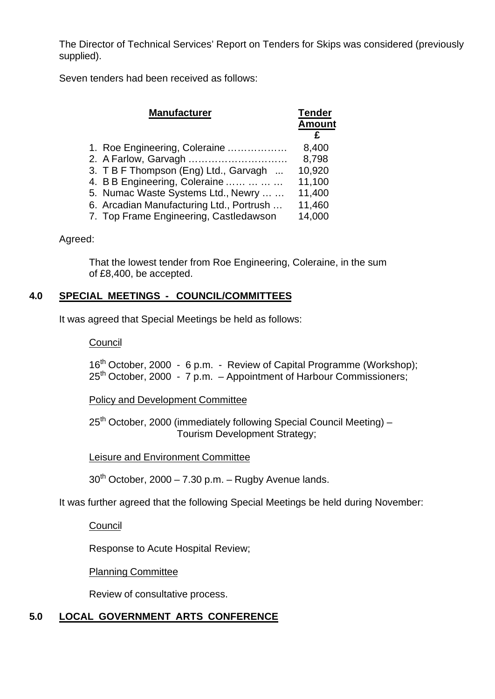The Director of Technical Services' Report on Tenders for Skips was considered (previously supplied).

Seven tenders had been received as follows:

| <b>Manufacturer</b>                      | <b>Tender</b><br><b>Amount</b> |
|------------------------------------------|--------------------------------|
| 1. Roe Engineering, Coleraine            | 8,400                          |
| 2. A Farlow, Garvagh                     | 8,798                          |
| 3. TBF Thompson (Eng) Ltd., Garvagh      | 10,920                         |
| 4. B B Engineering, Coleraine            | 11,100                         |
| 5. Numac Waste Systems Ltd., Newry       | 11,400                         |
| 6. Arcadian Manufacturing Ltd., Portrush | 11,460                         |
| 7. Top Frame Engineering, Castledawson   | 14,000                         |
|                                          |                                |

## Agreed:

That the lowest tender from Roe Engineering, Coleraine, in the sum of £8,400, be accepted.

## **4.0 SPECIAL MEETINGS - COUNCIL/COMMITTEES**

It was agreed that Special Meetings be held as follows:

## **Council**

16<sup>th</sup> October, 2000 - 6 p.m. - Review of Capital Programme (Workshop); 25<sup>th</sup> October, 2000 - 7 p.m. - Appointment of Harbour Commissioners;

Policy and Development Committee

 $25<sup>th</sup>$  October, 2000 (immediately following Special Council Meeting) – Tourism Development Strategy;

Leisure and Environment Committee

 $30<sup>th</sup>$  October, 2000 – 7.30 p.m. – Rugby Avenue lands.

It was further agreed that the following Special Meetings be held during November:

**Council** 

Response to Acute Hospital Review;

Planning Committee

Review of consultative process.

# **5.0 LOCAL GOVERNMENT ARTS CONFERENCE**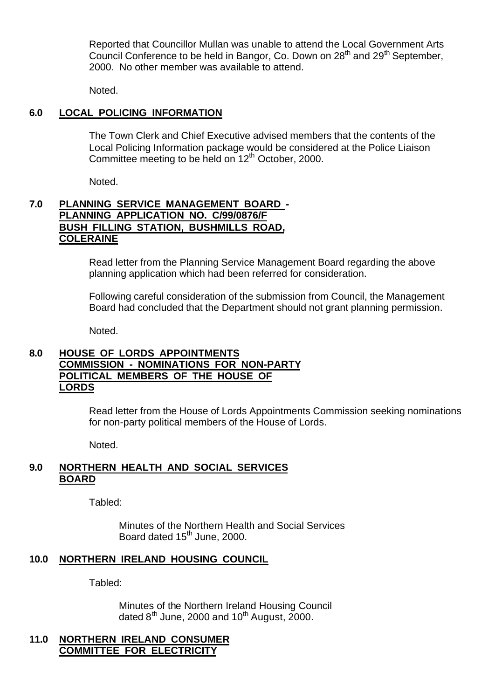Reported that Councillor Mullan was unable to attend the Local Government Arts Council Conference to be held in Bangor, Co. Down on 28<sup>th</sup> and 29<sup>th</sup> September, 2000. No other member was available to attend.

Noted.

# **6.0 LOCAL POLICING INFORMATION**

The Town Clerk and Chief Executive advised members that the contents of the Local Policing Information package would be considered at the Police Liaison Committee meeting to be held on  $12<sup>th</sup>$  October, 2000.

Noted.

## **7.0 PLANNING SERVICE MANAGEMENT BOARD - PLANNING APPLICATION NO. C/99/0876/F BUSH FILLING STATION, BUSHMILLS ROAD, COLERAINE**

Read letter from the Planning Service Management Board regarding the above planning application which had been referred for consideration.

Following careful consideration of the submission from Council, the Management Board had concluded that the Department should not grant planning permission.

Noted.

## **8.0 HOUSE OF LORDS APPOINTMENTS COMMISSION - NOMINATIONS FOR NON-PARTY POLITICAL MEMBERS OF THE HOUSE OF LORDS**

Read letter from the House of Lords Appointments Commission seeking nominations for non-party political members of the House of Lords.

Noted.

## **9.0 NORTHERN HEALTH AND SOCIAL SERVICES BOARD**

Tabled:

Minutes of the Northern Health and Social Services Board dated  $15<sup>th</sup>$  June, 2000.

# **10.0 NORTHERN IRELAND HOUSING COUNCIL**

Tabled:

Minutes of the Northern Ireland Housing Council dated  $8^{th}$  June, 2000 and 10<sup>th</sup> August, 2000.

## **11.0 NORTHERN IRELAND CONSUMER COMMITTEE FOR ELECTRICITY**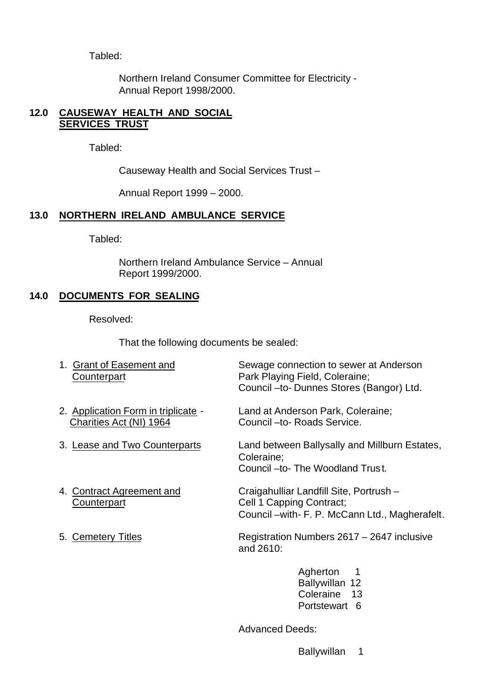Tabled:

Northern Ireland Consumer Committee for Electricity - Annual Report 1998/2000.

## **12.0 CAUSEWAY HEALTH AND SOCIAL SERVICES TRUST**

Tabled:

Causeway Health and Social Services Trust –

Annual Report 1999 – 2000.

# **13.0 NORTHERN IRELAND AMBULANCE SERVICE**

Tabled:

Northern Ireland Ambulance Service – Annual Report 1999/2000.

# **14.0 DOCUMENTS FOR SEALING**

Resolved:

That the following documents be sealed:

| 1. Grant of Easement and<br><b>Counterpart</b>                 | Sewage connection to sewer at Anderson<br>Park Playing Field, Coleraine;<br>Council - to- Dunnes Stores (Bangor) Ltd.  |  |
|----------------------------------------------------------------|------------------------------------------------------------------------------------------------------------------------|--|
| 2. Application Form in triplicate -<br>Charities Act (NI) 1964 | Land at Anderson Park, Coleraine;<br>Council -to- Roads Service.                                                       |  |
| 3. Lease and Two Counterparts                                  | Land between Ballysally and Millburn Estates,<br>Coleraine;<br>Council -to- The Woodland Trust.                        |  |
| 4. Contract Agreement and<br>Counterpart                       | Craigahulliar Landfill Site, Portrush -<br>Cell 1 Capping Contract;<br>Council – with- F. P. McCann Ltd., Magherafelt. |  |
| 5. Cemetery Titles                                             | Registration Numbers 2617 – 2647 inclusive<br>and 2610:                                                                |  |
|                                                                | Agherton<br>-1<br>Ballywillan 12<br>Coleraine 13<br>Portstewart<br>6                                                   |  |

Advanced Deeds:

Ballywillan 1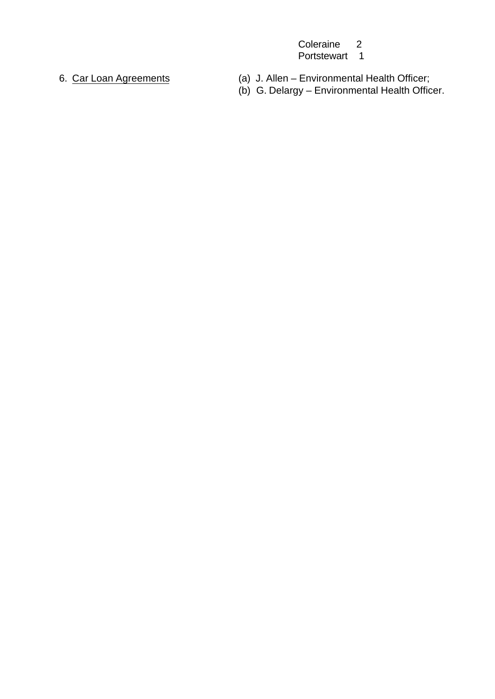Coleraine 2 Portstewart 1

- 6. Car Loan Agreements (a) J. Allen Environmental Health Officer;
	- (b) G. Delargy Environmental Health Officer.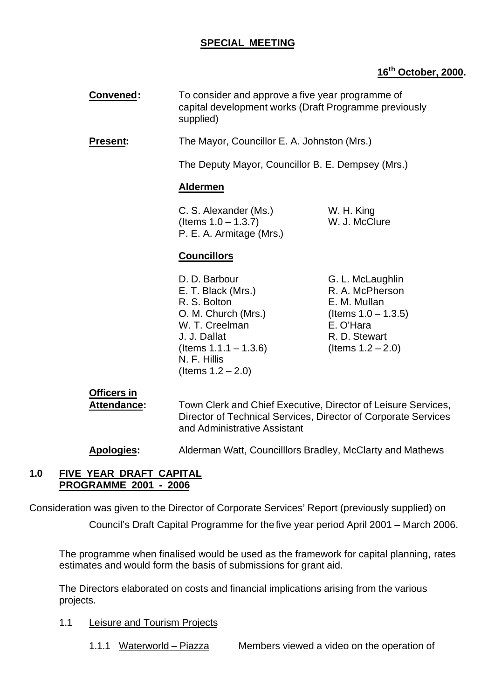# **SPECIAL MEETING**

# **16th October, 2000.**

| Convened:                                | supplied)                                                                                                                                                                        | To consider and approve a five year programme of<br>capital development works (Draft Programme previously                           |  |
|------------------------------------------|----------------------------------------------------------------------------------------------------------------------------------------------------------------------------------|-------------------------------------------------------------------------------------------------------------------------------------|--|
| <b>Present:</b>                          | The Mayor, Councillor E. A. Johnston (Mrs.)                                                                                                                                      |                                                                                                                                     |  |
|                                          | The Deputy Mayor, Councillor B. E. Dempsey (Mrs.)                                                                                                                                |                                                                                                                                     |  |
|                                          | <b>Aldermen</b>                                                                                                                                                                  |                                                                                                                                     |  |
|                                          | C. S. Alexander (Ms.)<br>(Items $1.0 - 1.3.7$ )<br>P. E. A. Armitage (Mrs.)                                                                                                      | W. H. King<br>W. J. McClure                                                                                                         |  |
|                                          | <b>Councillors</b>                                                                                                                                                               |                                                                                                                                     |  |
|                                          | D. D. Barbour<br>E. T. Black (Mrs.)<br>R. S. Bolton<br>O. M. Church (Mrs.)<br>W. T. Creelman<br>J. J. Dallat<br>(Items $1.1.1 - 1.3.6$ )<br>N. F. Hillis<br>(Items $1.2 - 2.0$ ) | G. L. McLaughlin<br>R. A. McPherson<br>E. M. Mullan<br>(Items $1.0 - 1.3.5$ )<br>E. O'Hara<br>R. D. Stewart<br>(Items $1.2 - 2.0$ ) |  |
| <b>Officers in</b><br><b>Attendance:</b> | Town Clerk and Chief Executive, Director of Leisure Services,<br>Director of Technical Services, Director of Corporate Services<br>and Administrative Assistant                  |                                                                                                                                     |  |

**Apologies:** Alderman Watt, Councilllors Bradley, McClarty and Mathews

## **1.0 FIVE YEAR DRAFT CAPITAL PROGRAMME 2001 - 2006**

Consideration was given to the Director of Corporate Services' Report (previously supplied) on

Council's Draft Capital Programme for the five year period April 2001 – March 2006.

The programme when finalised would be used as the framework for capital planning, rates estimates and would form the basis of submissions for grant aid.

The Directors elaborated on costs and financial implications arising from the various projects.

- 1.1 Leisure and Tourism Projects
	- 1.1.1 Waterworld Piazza Members viewed a video on the operation of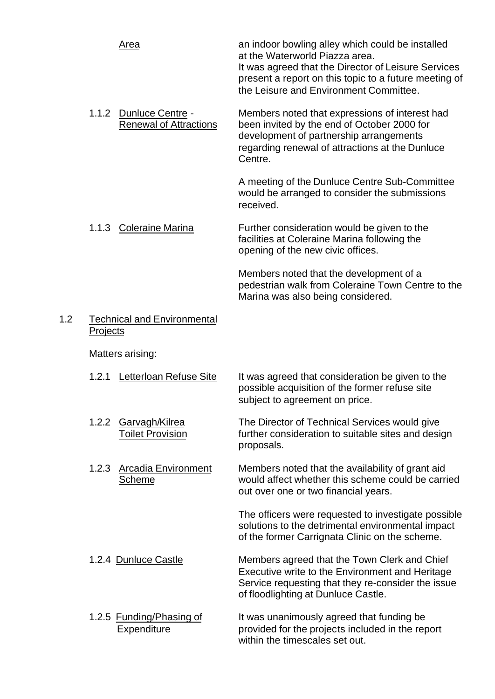| <u>Area</u> | an indoor bowling alley which could be installed<br>at the Waterworld Piazza area.<br>It was agreed that the Director of Leisure Services |
|-------------|-------------------------------------------------------------------------------------------------------------------------------------------|
|             | present a report on this topic to a future meeting of<br>the Leisure and Environment Committee.                                           |

1.1.2 Dunluce Centre - Members noted that expressions of interest had Renewal of Attractions been invited by the end of October 2000 for development of partnership arrangements regarding renewal of attractions at the Dunluce Centre.

> A meeting of the Dunluce Centre Sub-Committee would be arranged to consider the submissions received.

1.1.3 Coleraine Marina Further consideration would be given to the facilities at Coleraine Marina following the opening of the new civic offices.

> Members noted that the development of a pedestrian walk from Coleraine Town Centre to the Marina was also being considered.

## 1.2 Technical and Environmental **Projects**

Matters arising:

- 1.2.1 Letterloan Refuse Site It was agreed that consideration be given to the possible acquisition of the former refuse site subject to agreement on price.
- 1.2.2 Garvagh/Kilrea The Director of Technical Services would give Toilet Provision further consideration to suitable sites and design proposals.
- 1.2.3 Arcadia Environment Members noted that the availability of grant aid Scheme would affect whether this scheme could be carried out over one or two financial years.

The officers were requested to investigate possible solutions to the detrimental environmental impact of the former Carrignata Clinic on the scheme.

- 1.2.4 Dunluce Castle Members agreed that the Town Clerk and Chief Executive write to the Environment and Heritage Service requesting that they re-consider the issue of floodlighting at Dunluce Castle.
- 1.2.5 Funding/Phasing of It was unanimously agreed that funding be Expenditure **Expenditure** provided for the projects included in the report within the timescales set out.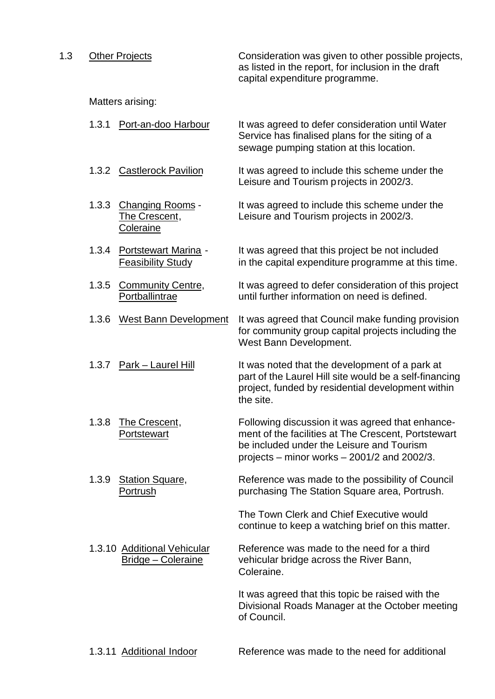1.3 Other Projects **Consideration was given to other possible projects**, as listed in the report, for inclusion in the draft capital expenditure programme.

Matters arising:

|       |                                                          | Service has finalised plans for the siting of a<br>sewage pumping station at this location.                                                                                                           |
|-------|----------------------------------------------------------|-------------------------------------------------------------------------------------------------------------------------------------------------------------------------------------------------------|
| 1.3.2 | <b>Castlerock Pavilion</b>                               | It was agreed to include this scheme under the<br>Leisure and Tourism projects in 2002/3.                                                                                                             |
| 1.3.3 | <b>Changing Rooms -</b><br>The Crescent,<br>Coleraine    | It was agreed to include this scheme under the<br>Leisure and Tourism projects in 2002/3.                                                                                                             |
| 1.3.4 | Portstewart Marina -<br><b>Feasibility Study</b>         | It was agreed that this project be not included<br>in the capital expenditure programme at this time.                                                                                                 |
| 1.3.5 | <b>Community Centre,</b><br>Portballintrae               | It was agreed to defer consideration of this project<br>until further information on need is defined.                                                                                                 |
| 1.3.6 | <b>West Bann Development</b>                             | It was agreed that Council make funding provision<br>for community group capital projects including the<br>West Bann Development.                                                                     |
| 1.3.7 | Park - Laurel Hill                                       | It was noted that the development of a park at<br>part of the Laurel Hill site would be a self-financing<br>project, funded by residential development within<br>the site.                            |
| 1.3.8 | The Crescent,<br>Portstewart                             | Following discussion it was agreed that enhance-<br>ment of the facilities at The Crescent, Portstewart<br>be included under the Leisure and Tourism<br>projects – minor works $-$ 2001/2 and 2002/3. |
| 1.3.9 | <b>Station Square,</b><br>Portrush                       | Reference was made to the possibility of Council<br>purchasing The Station Square area, Portrush.                                                                                                     |
|       |                                                          | The Town Clerk and Chief Executive would<br>continue to keep a watching brief on this matter.                                                                                                         |
|       | 1.3.10 Additional Vehicular<br><b>Bridge - Coleraine</b> | Reference was made to the need for a third<br>vehicular bridge across the River Bann,<br>Coleraine.                                                                                                   |
|       |                                                          | It was agreed that this topic be raised with the<br>Divisional Roads Manager at the October meeting<br>of Council.                                                                                    |
|       |                                                          |                                                                                                                                                                                                       |

1.3.1 Port-an-doo Harbour It was agreed to defer consideration until Water

1.3.11 Additional Indoor Reference was made to the need for additional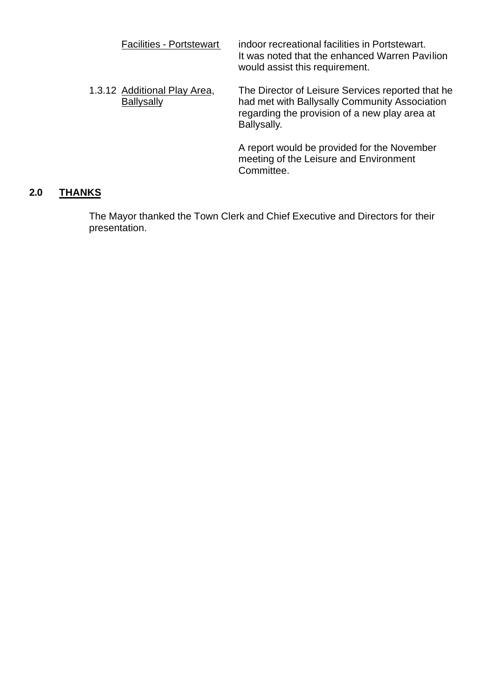| <b>Facilities - Portstewart</b>                   | indoor recreational facilities in Portstewart.<br>It was noted that the enhanced Warren Pavilion<br>would assist this requirement.                                 |
|---------------------------------------------------|--------------------------------------------------------------------------------------------------------------------------------------------------------------------|
| 1.3.12 Additional Play Area,<br><b>Ballysally</b> | The Director of Leisure Services reported that he<br>had met with Ballysally Community Association<br>regarding the provision of a new play area at<br>Ballysally. |
|                                                   | A report would be provided for the November<br>meeting of the Leisure and Environment<br>Committee.                                                                |

# **2.0 THANKS**

The Mayor thanked the Town Clerk and Chief Executive and Directors for their presentation.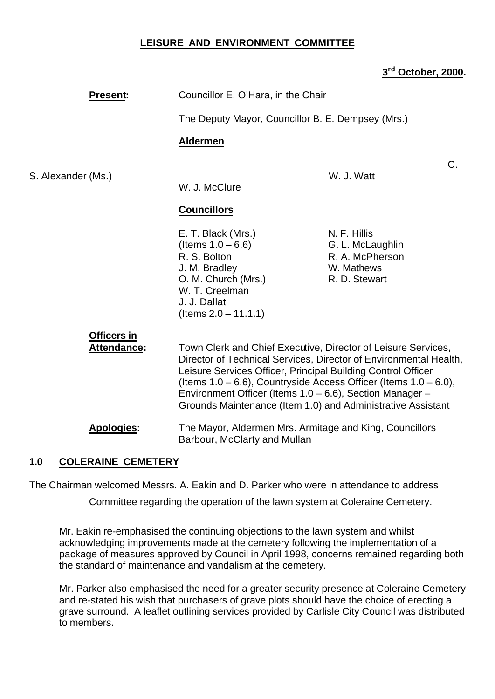## **LEISURE AND ENVIRONMENT COMMITTEE**

## **3 rd October, 2000.**

| <b>Present:</b>                                                                                                                                                                                                                                                                                                                                                                                         | Councillor E. O'Hara, in the Chair                                                                                                                                                                                                                                                                                                                                                                                                  |                     |
|---------------------------------------------------------------------------------------------------------------------------------------------------------------------------------------------------------------------------------------------------------------------------------------------------------------------------------------------------------------------------------------------------------|-------------------------------------------------------------------------------------------------------------------------------------------------------------------------------------------------------------------------------------------------------------------------------------------------------------------------------------------------------------------------------------------------------------------------------------|---------------------|
|                                                                                                                                                                                                                                                                                                                                                                                                         |                                                                                                                                                                                                                                                                                                                                                                                                                                     |                     |
|                                                                                                                                                                                                                                                                                                                                                                                                         | <b>Aldermen</b>                                                                                                                                                                                                                                                                                                                                                                                                                     |                     |
| S. Alexander (Ms.)                                                                                                                                                                                                                                                                                                                                                                                      |                                                                                                                                                                                                                                                                                                                                                                                                                                     | $C$ .<br>W. J. Watt |
|                                                                                                                                                                                                                                                                                                                                                                                                         | W. J. McClure                                                                                                                                                                                                                                                                                                                                                                                                                       |                     |
|                                                                                                                                                                                                                                                                                                                                                                                                         | The Deputy Mayor, Councillor B. E. Dempsey (Mrs.)<br><b>Councillors</b><br>N. F. Hillis<br>E. T. Black (Mrs.)<br>(Items $1.0 - 6.6$ )<br>G. L. McLaughlin<br>R. S. Bolton<br>R. A. McPherson<br>J. M. Bradley<br>W. Mathews<br>O. M. Church (Mrs.)<br>R. D. Stewart<br>W. T. Creelman<br>J. J. Dallat<br>$($ ltems $2.0 - 11.1.1)$<br><b>Officers in</b><br><b>Attendance:</b><br><b>Apologies:</b><br>Barbour, McClarty and Mullan |                     |
|                                                                                                                                                                                                                                                                                                                                                                                                         |                                                                                                                                                                                                                                                                                                                                                                                                                                     |                     |
| Town Clerk and Chief Executive, Director of Leisure Services,<br>Director of Technical Services, Director of Environmental Health,<br>Leisure Services Officer, Principal Building Control Officer<br>(Items $1.0 - 6.6$ ), Countryside Access Officer (Items $1.0 - 6.0$ ),<br>Environment Officer (Items 1.0 – 6.6), Section Manager –<br>Grounds Maintenance (Item 1.0) and Administrative Assistant |                                                                                                                                                                                                                                                                                                                                                                                                                                     |                     |
|                                                                                                                                                                                                                                                                                                                                                                                                         | The Mayor, Aldermen Mrs. Armitage and King, Councillors                                                                                                                                                                                                                                                                                                                                                                             |                     |

## **1.0 COLERAINE CEMETERY**

The Chairman welcomed Messrs. A. Eakin and D. Parker who were in attendance to address

Committee regarding the operation of the lawn system at Coleraine Cemetery.

Mr. Eakin re-emphasised the continuing objections to the lawn system and whilst acknowledging improvements made at the cemetery following the implementation of a package of measures approved by Council in April 1998, concerns remained regarding both the standard of maintenance and vandalism at the cemetery.

Mr. Parker also emphasised the need for a greater security presence at Coleraine Cemetery and re-stated his wish that purchasers of grave plots should have the choice of erecting a grave surround. A leaflet outlining services provided by Carlisle City Council was distributed to members.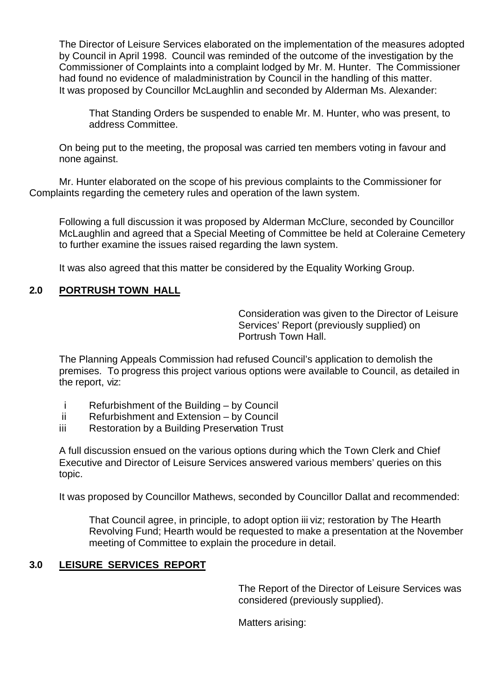The Director of Leisure Services elaborated on the implementation of the measures adopted by Council in April 1998. Council was reminded of the outcome of the investigation by the Commissioner of Complaints into a complaint lodged by Mr. M. Hunter. The Commissioner had found no evidence of maladministration by Council in the handling of this matter. It was proposed by Councillor McLaughlin and seconded by Alderman Ms. Alexander:

That Standing Orders be suspended to enable Mr. M. Hunter, who was present, to address Committee.

On being put to the meeting, the proposal was carried ten members voting in favour and none against.

Mr. Hunter elaborated on the scope of his previous complaints to the Commissioner for Complaints regarding the cemetery rules and operation of the lawn system.

Following a full discussion it was proposed by Alderman McClure, seconded by Councillor McLaughlin and agreed that a Special Meeting of Committee be held at Coleraine Cemetery to further examine the issues raised regarding the lawn system.

It was also agreed that this matter be considered by the Equality Working Group.

## **2.0 PORTRUSH TOWN HALL**

Consideration was given to the Director of Leisure Services' Report (previously supplied) on Portrush Town Hall.

The Planning Appeals Commission had refused Council's application to demolish the premises. To progress this project various options were available to Council, as detailed in the report, viz:

- i Refurbishment of the Building by Council
- ii Refurbishment and Extension by Council
- iii Restoration by a Building Preservation Trust

A full discussion ensued on the various options during which the Town Clerk and Chief Executive and Director of Leisure Services answered various members' queries on this topic.

It was proposed by Councillor Mathews, seconded by Councillor Dallat and recommended:

That Council agree, in principle, to adopt option iii viz; restoration by The Hearth Revolving Fund; Hearth would be requested to make a presentation at the November meeting of Committee to explain the procedure in detail.

## **3.0 LEISURE SERVICES REPORT**

The Report of the Director of Leisure Services was considered (previously supplied).

Matters arising: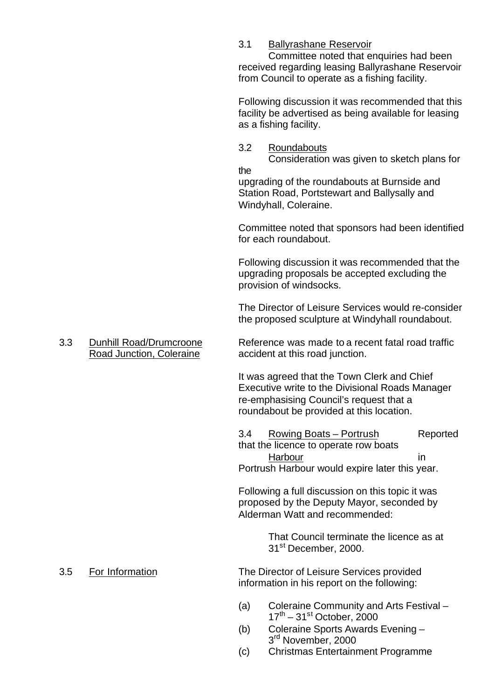## 3.1 Ballyrashane Reservoir

Committee noted that enquiries had been received regarding leasing Ballyrashane Reservoir from Council to operate as a fishing facility.

Following discussion it was recommended that this facility be advertised as being available for leasing as a fishing facility.

3.2 Roundabouts Consideration was given to sketch plans for

the

upgrading of the roundabouts at Burnside and Station Road, Portstewart and Ballysally and Windyhall, Coleraine.

Committee noted that sponsors had been identified for each roundabout.

Following discussion it was recommended that the upgrading proposals be accepted excluding the provision of windsocks.

The Director of Leisure Services would re-consider the proposed sculpture at Windyhall roundabout.

3.3 Dunhill Road/Drumcroone Reference was made to a recent fatal road traffic Road Junction, Coleraine accident at this road junction.

It was agreed that the Town Clerk and Chief Executive write to the Divisional Roads Manager re-emphasising Council's request that a roundabout be provided at this location.

3.4 Rowing Boats – Portrush Reported that the licence to operate row boats Harbour in in Portrush Harbour would expire later this year.

Following a full discussion on this topic it was proposed by the Deputy Mayor, seconded by Alderman Watt and recommended:

> That Council terminate the licence as at 31st December, 2000.

3.5 For Information The Director of Leisure Services provided information in his report on the following:

- (a) Coleraine Community and Arts Festival  $17<sup>th</sup> - 31<sup>st</sup>$  October, 2000
- (b) Coleraine Sports Awards Evening 3<sup>rd</sup> November, 2000
- (c) Christmas Entertainment Programme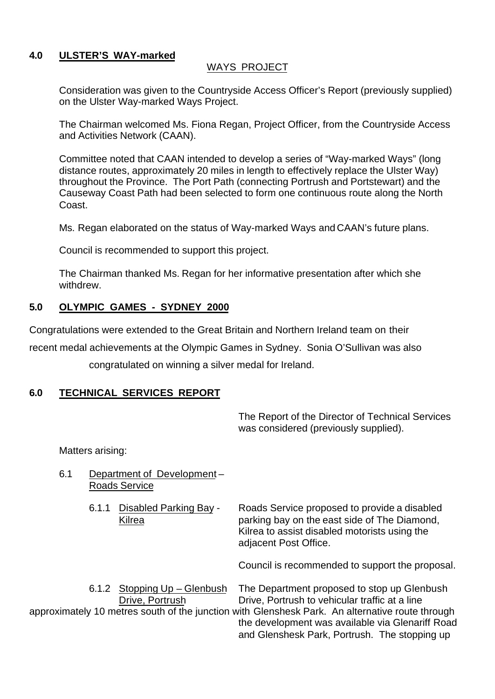## **4.0 ULSTER'S WAY-marked**

## WAYS PROJECT

Consideration was given to the Countryside Access Officer's Report (previously supplied) on the Ulster Way-marked Ways Project.

The Chairman welcomed Ms. Fiona Regan, Project Officer, from the Countryside Access and Activities Network (CAAN).

Committee noted that CAAN intended to develop a series of "Way-marked Ways" (long distance routes, approximately 20 miles in length to effectively replace the Ulster Way) throughout the Province. The Port Path (connecting Portrush and Portstewart) and the Causeway Coast Path had been selected to form one continuous route along the North Coast.

Ms. Regan elaborated on the status of Way-marked Ways and CAAN's future plans.

Council is recommended to support this project.

The Chairman thanked Ms. Regan for her informative presentation after which she withdrew.

# **5.0 OLYMPIC GAMES - SYDNEY 2000**

Congratulations were extended to the Great Britain and Northern Ireland team on their

recent medal achievements at the Olympic Games in Sydney. Sonia O'Sullivan was also

congratulated on winning a silver medal for Ireland.

# **6.0 TECHNICAL SERVICES REPORT**

The Report of the Director of Technical Services was considered (previously supplied).

Matters arising:

| 6.1 |  |       | Department of Development-<br><b>Roads Service</b> |                                                                                                                                                                        |  |
|-----|--|-------|----------------------------------------------------|------------------------------------------------------------------------------------------------------------------------------------------------------------------------|--|
|     |  | 6.1.1 | Disabled Parking Bay -<br>Kilrea                   | Roads Service proposed to provide a disabled<br>parking bay on the east side of The Diamond,<br>Kilrea to assist disabled motorists using the<br>adjacent Post Office. |  |
|     |  |       |                                                    | Council is recommended to support the proposal.                                                                                                                        |  |
|     |  | 6.1.2 | Stopping Up - Glenbush<br>Drive, Portrush          | The Department proposed to stop up Glenbush<br>Drive, Portrush to vehicular traffic at a line                                                                          |  |
|     |  |       |                                                    | approximately 10 metres south of the junction with Glenshesk Park. An alternative route through<br>the development was available via Glenariff Road                    |  |

and Glenshesk Park, Portrush. The stopping up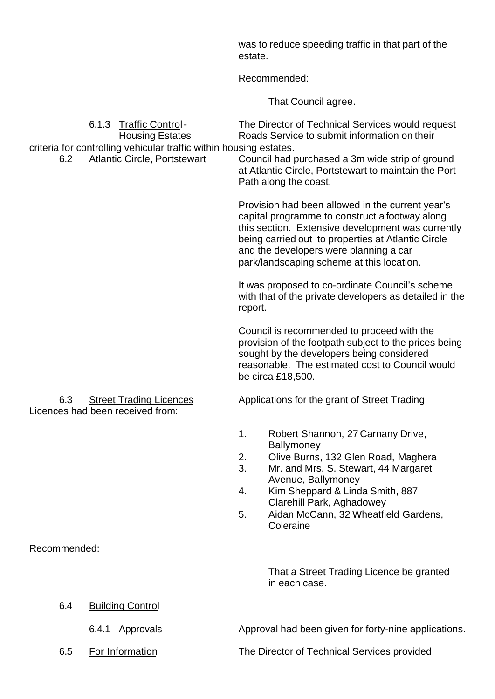was to reduce speeding traffic in that part of the estate.

Recommended:

That Council agree.

| 6.2          | 6.1.3<br><b>Traffic Control-</b><br><b>Housing Estates</b><br>criteria for controlling vehicular traffic within housing estates.<br><b>Atlantic Circle, Portstewart</b> | The Director of Technical Services would request<br>Roads Service to submit information on their<br>Council had purchased a 3m wide strip of ground<br>at Atlantic Circle, Portstewart to maintain the Port<br>Path along the coast.                                                                           |
|--------------|-------------------------------------------------------------------------------------------------------------------------------------------------------------------------|----------------------------------------------------------------------------------------------------------------------------------------------------------------------------------------------------------------------------------------------------------------------------------------------------------------|
|              |                                                                                                                                                                         | Provision had been allowed in the current year's<br>capital programme to construct a footway along<br>this section. Extensive development was currently<br>being carried out to properties at Atlantic Circle<br>and the developers were planning a car<br>park/landscaping scheme at this location.           |
|              |                                                                                                                                                                         | It was proposed to co-ordinate Council's scheme<br>with that of the private developers as detailed in the<br>report.                                                                                                                                                                                           |
|              |                                                                                                                                                                         | Council is recommended to proceed with the<br>provision of the footpath subject to the prices being<br>sought by the developers being considered<br>reasonable. The estimated cost to Council would<br>be circa £18,500.                                                                                       |
| 6.3          | <b>Street Trading Licences</b><br>Licences had been received from:                                                                                                      | Applications for the grant of Street Trading                                                                                                                                                                                                                                                                   |
|              |                                                                                                                                                                         | 1.<br>Robert Shannon, 27 Carnany Drive,<br><b>Ballymoney</b><br>2.<br>Olive Burns, 132 Glen Road, Maghera<br>3.<br>Mr. and Mrs. S. Stewart, 44 Margaret<br>Avenue, Ballymoney<br>4.<br>Kim Sheppard & Linda Smith, 887<br>Clarehill Park, Aghadowey<br>Aidan McCann, 32 Wheatfield Gardens,<br>5.<br>Coleraine |
| Recommended: |                                                                                                                                                                         |                                                                                                                                                                                                                                                                                                                |
|              |                                                                                                                                                                         | That a Street Trading Licence be granted<br>in each case.                                                                                                                                                                                                                                                      |
| 6.4          | <b>Building Control</b>                                                                                                                                                 |                                                                                                                                                                                                                                                                                                                |
|              | 6.4.1<br><b>Approvals</b>                                                                                                                                               | Approval had been given for forty-nine applications.                                                                                                                                                                                                                                                           |
| 6.5          | For Information                                                                                                                                                         | The Director of Technical Services provided                                                                                                                                                                                                                                                                    |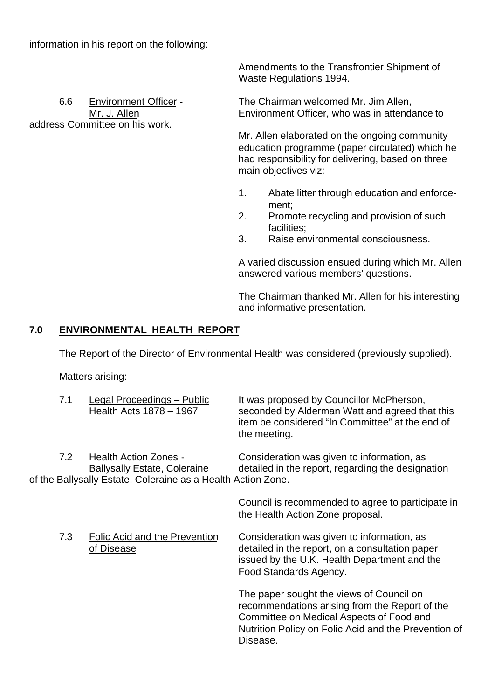address Committee on his work.

Amendments to the Transfrontier Shipment of Waste Regulations 1994.

6.6 Environment Officer - The Chairman welcomed Mr. Jim Allen, Mr. J. Allen **Environment Officer**, who was in attendance to

> Mr. Allen elaborated on the ongoing community education programme (paper circulated) which he had responsibility for delivering, based on three main objectives viz:

- 1. Abate litter through education and enforcement;
- 2. Promote recycling and provision of such facilities;
- 3. Raise environmental consciousness.

A varied discussion ensued during which Mr. Allen answered various members' questions.

The Chairman thanked Mr. Allen for his interesting and informative presentation.

# **7.0 ENVIRONMENTAL HEALTH REPORT**

The Report of the Director of Environmental Health was considered (previously supplied).

Matters arising:

| 7.1 | Legal Proceedings - Public<br>Health Acts 1878 - 1967                                                                               | It was proposed by Councillor McPherson,<br>seconded by Alderman Watt and agreed that this<br>item be considered "In Committee" at the end of<br>the meeting.                                  |
|-----|-------------------------------------------------------------------------------------------------------------------------------------|------------------------------------------------------------------------------------------------------------------------------------------------------------------------------------------------|
| 7.2 | <b>Health Action Zones -</b><br><b>Ballysally Estate, Coleraine</b><br>of the Ballysally Estate, Coleraine as a Health Action Zone. | Consideration was given to information, as<br>detailed in the report, regarding the designation                                                                                                |
|     |                                                                                                                                     | Council is recommended to agree to participate in<br>the Health Action Zone proposal.                                                                                                          |
| 7.3 | Folic Acid and the Prevention<br>of Disease                                                                                         | Consideration was given to information, as<br>detailed in the report, on a consultation paper<br>issued by the U.K. Health Department and the<br>Food Standards Agency.                        |
|     |                                                                                                                                     | The paper sought the views of Council on<br>recommendations arising from the Report of the<br>Committee on Medical Aspects of Food and<br>Nutrition Policy on Folic Acid and the Prevention of |

Disease.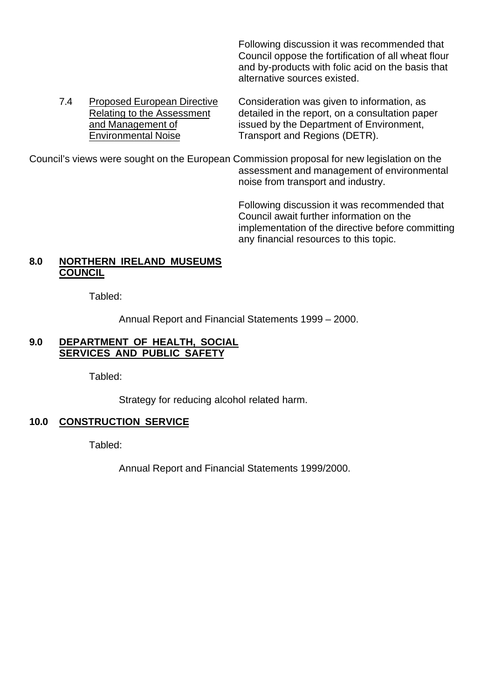Following discussion it was recommended that Council oppose the fortification of all wheat flour and by-products with folic acid on the basis that alternative sources existed.

7.4 Proposed European Directive Consideration was given to information, as Relating to the Assessment detailed in the report, on a consultation paper and Management of issued by the Department of Environment, Environmental Noise Transport and Regions (DETR).

Council's views were sought on the European Commission proposal for new legislation on the assessment and management of environmental noise from transport and industry.

> Following discussion it was recommended that Council await further information on the implementation of the directive before committing any financial resources to this topic.

## **8.0 NORTHERN IRELAND MUSEUMS COUNCIL**

Tabled:

Annual Report and Financial Statements 1999 – 2000.

## **9.0 DEPARTMENT OF HEALTH, SOCIAL SERVICES AND PUBLIC SAFETY**

Tabled:

Strategy for reducing alcohol related harm.

# **10.0 CONSTRUCTION SERVICE**

Tabled:

Annual Report and Financial Statements 1999/2000.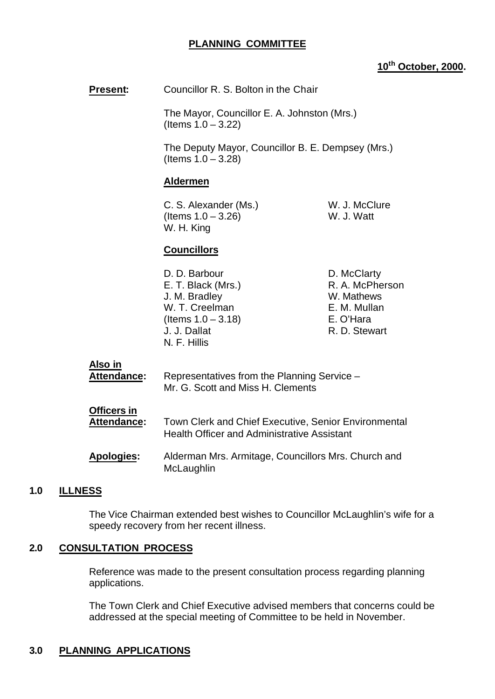## **PLANNING COMMITTEE**

## **10th October, 2000.**

**Present:** Councillor R. S. Bolton in the Chair

The Mayor, Councillor E. A. Johnston (Mrs.) (Items 1.0 – 3.22)

The Deputy Mayor, Councillor B. E. Dempsey (Mrs.) (Items 1.0 – 3.28)

#### **Aldermen**

C. S. Alexander (Ms.) W. J. McClure  $($  Items  $1.0 - 3.26)$  W. J. Watt W. H. King

## **Councillors**

D. D. Barbour D. McClarty E. T. Black (Mrs.) R. A. McPherson J. M. Bradley W. Mathews W. T. Creelman E. M. Mullan (Items 1.0 – 3.18) E. O'Hara J. J. Dallat R. D. Stewart N. F. Hillis

#### **Also in**

| Attendance:                       | Representatives from the Planning Service -<br>Mr. G. Scott and Miss H. Clements                                  |
|-----------------------------------|-------------------------------------------------------------------------------------------------------------------|
| Officers in<br><b>Attendance:</b> | <b>Town Clerk and Chief Executive, Senior Environmental</b><br><b>Health Officer and Administrative Assistant</b> |
| <b>Apologies:</b>                 | Alderman Mrs. Armitage, Councillors Mrs. Church and<br>McLaughlin                                                 |

## **1.0 ILLNESS**

The Vice Chairman extended best wishes to Councillor McLaughlin's wife for a speedy recovery from her recent illness.

## **2.0 CONSULTATION PROCESS**

Reference was made to the present consultation process regarding planning applications.

The Town Clerk and Chief Executive advised members that concerns could be addressed at the special meeting of Committee to be held in November.

# **3.0 PLANNING APPLICATIONS**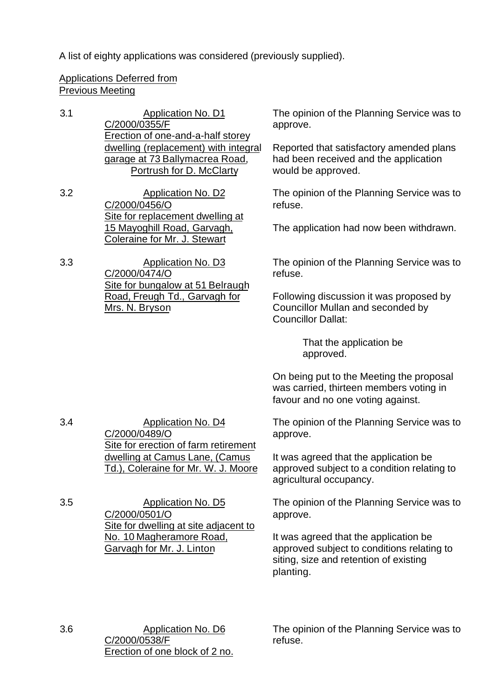A list of eighty applications was considered (previously supplied).

# Applications Deferred from Previous Meeting

- 3.1 Application No. D1 C/2000/0355/F Erection of one-and-a-half storey dwelling (replacement) with integral garage at 73 Ballymacrea Road, Portrush for D. McClarty
- 3.2 Application No. D2 C/2000/0456/O Site for replacement dwelling at 15 Mayoghill Road, Garvagh, Coleraine for Mr. J. Stewart
- 3.3 Application No. D3 C/2000/0474/O Site for bungalow at 51 Belraugh Road, Freugh Td., Garvagh for Mrs. N. Bryson

The opinion of the Planning Service was to approve.

Reported that satisfactory amended plans had been received and the application would be approved.

The opinion of the Planning Service was to refuse.

The application had now been withdrawn.

The opinion of the Planning Service was to refuse.

Following discussion it was proposed by Councillor Mullan and seconded by Councillor Dallat:

> That the application be approved.

On being put to the Meeting the proposal was carried, thirteen members voting in favour and no one voting against.

The opinion of the Planning Service was to approve.

It was agreed that the application be approved subject to a condition relating to agricultural occupancy.

The opinion of the Planning Service was to approve.

It was agreed that the application be approved subject to conditions relating to siting, size and retention of existing planting.

3.6 Application No. D6 C/2000/0538/F Erection of one block of 2 no. The opinion of the Planning Service was to refuse.

3.4 Application No. D4 C/2000/0489/O Site for erection of farm retirement dwelling at Camus Lane, (Camus Td.), Coleraine for Mr. W. J. Moore

3.5 Application No. D5 C/2000/0501/O Site for dwelling at site adjacent to No. 10 Magheramore Road, Garvagh for Mr. J. Linton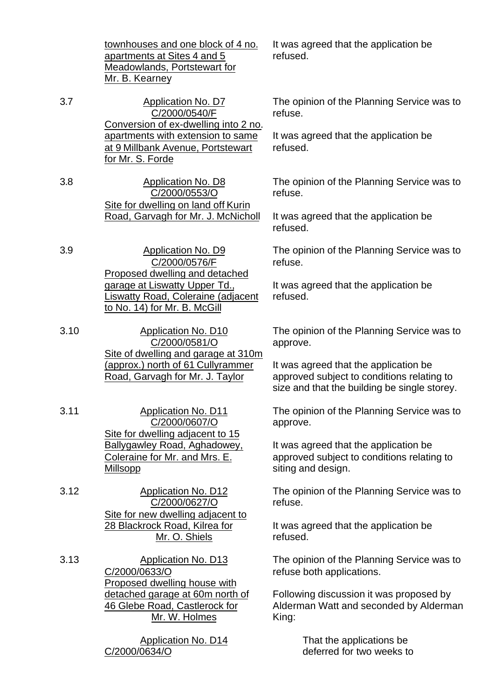townhouses and one block of 4 no. apartments at Sites 4 and 5 Meadowlands, Portstewart for Mr. B. Kearney

3.7 Application No. D7 C/2000/0540/F Conversion of ex-dwelling into 2 no. apartments with extension to same at 9 Millbank Avenue, Portstewart for Mr. S. Forde

3.8 Application No. D8 C/2000/0553/O Site for dwelling on land off Kurin Road, Garvagh for Mr. J. McNicholl

3.9 Application No. D9 C/2000/0576/F Proposed dwelling and detached garage at Liswatty Upper Td., Liswatty Road, Coleraine (adjacent to No. 14) for Mr. B. McGill

3.10 Application No. D10 C/2000/0581/O Site of dwelling and garage at 310m (approx.) north of 61 Cullyrammer Road, Garvagh for Mr. J. Taylor

3.11 Application No. D11 C/2000/0607/O Site for dwelling adjacent to 15 Ballygawley Road, Aghadowey, Coleraine for Mr. and Mrs. E. Millsopp

3.12 Application No. D12 C/2000/0627/O Site for new dwelling adjacent to 28 Blackrock Road, Kilrea for Mr. O. Shiels

3.13 Application No. D13 C/2000/0633/O Proposed dwelling house with detached garage at 60m north of 46 Glebe Road, Castlerock for Mr. W. Holmes

> Application No. D14 C/2000/0634/O

It was agreed that the application be refused.

The opinion of the Planning Service was to refuse.

It was agreed that the application be refused.

The opinion of the Planning Service was to refuse.

It was agreed that the application be refused.

The opinion of the Planning Service was to refuse.

It was agreed that the application be refused.

The opinion of the Planning Service was to approve.

It was agreed that the application be approved subject to conditions relating to size and that the building be single storey.

The opinion of the Planning Service was to approve.

It was agreed that the application be approved subject to conditions relating to siting and design.

The opinion of the Planning Service was to refuse.

It was agreed that the application be refused.

The opinion of the Planning Service was to refuse both applications.

Following discussion it was proposed by Alderman Watt and seconded by Alderman King:

> That the applications be deferred for two weeks to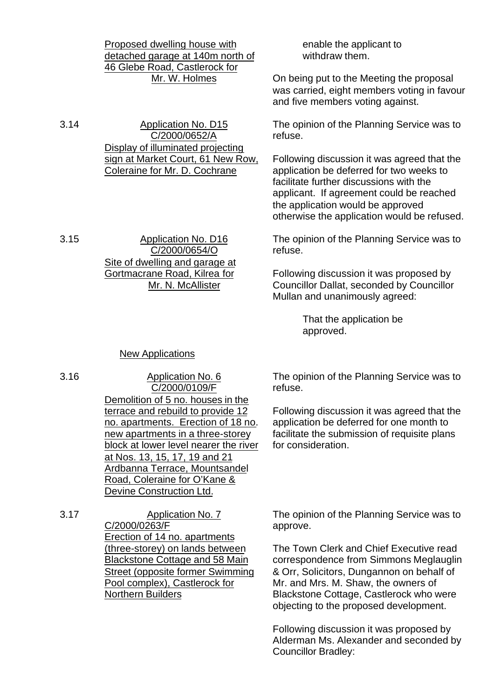|      | Proposed dwelling house with<br>detached garage at 140m north of<br>46 Glebe Road, Castlerock for<br>Mr. W. Holmes                                                                                                                                          | enable the applicant to<br>withdraw them.<br>On being put to the Meeting the proposal<br>was carried, eight members voting in favour<br>and five members voting against.                                                                                           |
|------|-------------------------------------------------------------------------------------------------------------------------------------------------------------------------------------------------------------------------------------------------------------|--------------------------------------------------------------------------------------------------------------------------------------------------------------------------------------------------------------------------------------------------------------------|
| 3.14 | Application No. D15<br>C/2000/0652/A                                                                                                                                                                                                                        | The opinion of the Planning Service was to<br>refuse.                                                                                                                                                                                                              |
|      | Display of illuminated projecting<br>sign at Market Court, 61 New Row,<br>Coleraine for Mr. D. Cochrane                                                                                                                                                     | Following discussion it was agreed that the<br>application be deferred for two weeks to<br>facilitate further discussions with the<br>applicant. If agreement could be reached<br>the application would be approved<br>otherwise the application would be refused. |
| 3.15 | <b>Application No. D16</b><br>C/2000/0654/O                                                                                                                                                                                                                 | The opinion of the Planning Service was to<br>refuse.                                                                                                                                                                                                              |
|      | Site of dwelling and garage at<br>Gortmacrane Road, Kilrea for<br>Mr. N. McAllister                                                                                                                                                                         | Following discussion it was proposed by<br><b>Councillor Dallat, seconded by Councillor</b><br>Mullan and unanimously agreed:                                                                                                                                      |
|      |                                                                                                                                                                                                                                                             | That the application be<br>approved.                                                                                                                                                                                                                               |
|      | <b>New Applications</b>                                                                                                                                                                                                                                     |                                                                                                                                                                                                                                                                    |
| 3.16 | <b>Application No. 6</b><br>C/2000/0109/F                                                                                                                                                                                                                   | The opinion of the Planning Service was to<br>refuse.                                                                                                                                                                                                              |
|      | Demolition of 5 no. houses in the<br>terrace and rebuild to provide 12<br>no. apartments. Erection of 18 no.<br>new apartments in a three-storey<br>block at lower level nearer the river<br>at Nos. 13, 15, 17, 19 and 21<br>Ardbanna Terrace, Mountsandel | Following discussion it was agreed that the<br>application be deferred for one month to<br>facilitate the submission of requisite plans<br>for consideration.                                                                                                      |

3.17 Application No. 7 C/2000/0263/F Erection of 14 no. apartments (three-storey) on lands between Blackstone Cottage and 58 Main Street (opposite former Swimming Pool complex), Castlerock for Northern Builders

Road, Coleraine for O'Kane & Devine Construction Ltd.

> The opinion of the Planning Service was to approve.

> The Town Clerk and Chief Executive read correspondence from Simmons Meglauglin & Orr, Solicitors, Dungannon on behalf of Mr. and Mrs. M. Shaw, the owners of Blackstone Cottage, Castlerock who were objecting to the proposed development.

> Following discussion it was proposed by Alderman Ms. Alexander and seconded by Councillor Bradley: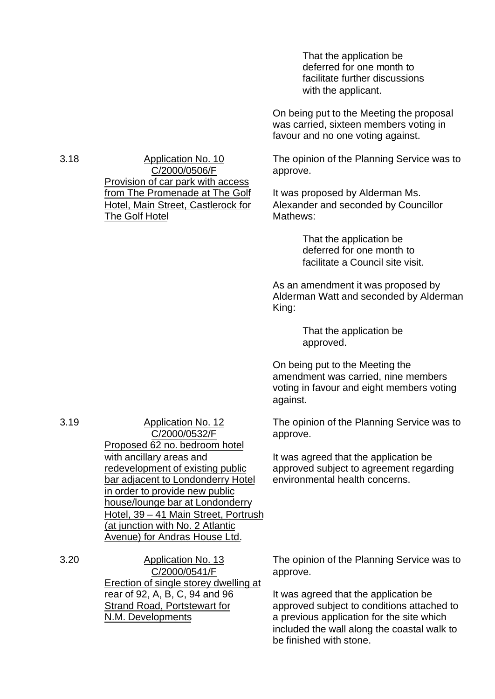That the application be deferred for one month to facilitate further discussions with the applicant.

On being put to the Meeting the proposal was carried, sixteen members voting in favour and no one voting against.

The opinion of the Planning Service was to approve.

It was proposed by Alderman Ms. Alexander and seconded by Councillor Mathews:

> That the application be deferred for one month to facilitate a Council site visit.

As an amendment it was proposed by Alderman Watt and seconded by Alderman King:

> That the application be approved.

On being put to the Meeting the amendment was carried, nine members voting in favour and eight members voting against.

The opinion of the Planning Service was to approve.

It was agreed that the application be approved subject to agreement regarding environmental health concerns.

The opinion of the Planning Service was to approve.

It was agreed that the application be approved subject to conditions attached to a previous application for the site which included the wall along the coastal walk to be finished with stone.

3.18 Application No. 10 C/2000/0506/F Provision of car park with access from The Promenade at The Golf Hotel, Main Street, Castlerock for The Golf Hotel

3.19 Application No. 12 C/2000/0532/F Proposed 62 no. bedroom hotel with ancillary areas and redevelopment of existing public bar adjacent to Londonderry Hotel in order to provide new public house/lounge bar at Londonderry Hotel, 39 – 41 Main Street, Portrush (at junction with No. 2 Atlantic Avenue) for Andras House Ltd.

3.20 Application No. 13 C/2000/0541/F Erection of single storey dwelling at rear of 92, A, B, C, 94 and 96 Strand Road, Portstewart for N.M. Developments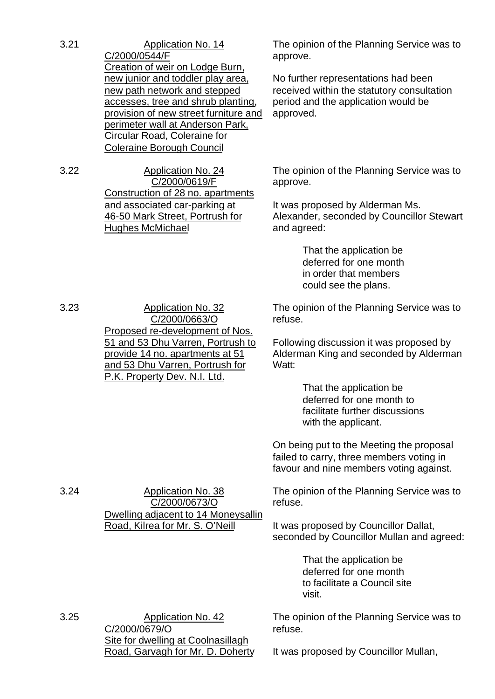| 3.21 | Application No. 14<br>C/2000/0544/F<br>Creation of weir on Lodge Burn,<br>new junior and toddler play area,<br>new path network and stepped<br>accesses, tree and shrub planting,<br>provision of new street furniture and<br>perimeter wall at Anderson Park,<br>Circular Road, Coleraine for<br><b>Coleraine Borough Council</b> | The opinion<br>approve.<br>No further re<br>received with<br>period and th<br>approved.                    |
|------|------------------------------------------------------------------------------------------------------------------------------------------------------------------------------------------------------------------------------------------------------------------------------------------------------------------------------------|------------------------------------------------------------------------------------------------------------|
| 3.22 | <b>Application No. 24</b><br>C/2000/0619/F<br>Construction of 28 no. apartments<br><u>and associated car-parking at</u><br>46-50 Mark Street, Portrush for<br><b>Hughes McMichael</b>                                                                                                                                              | The opinion<br>approve.<br>It was propo<br>Alexander, s<br>and agreed:                                     |
|      |                                                                                                                                                                                                                                                                                                                                    | That t<br>deferr<br>in ord<br>could                                                                        |
| 3.23 | <b>Application No. 32</b><br>C/2000/0663/O<br>Proposed re-development of Nos.<br>51 and 53 Dhu Varren, Portrush to<br><u>provide 14 no. apartments at 51</u><br><u>and 53 Dhu Varren, Portrush for</u><br>P.K. Property Dev. N.I. Ltd.                                                                                             | The opinion<br>refuse.<br>Following dis<br>Alderman Ki<br>Watt:<br>That t<br>deferr<br>facilita<br>with th |
|      |                                                                                                                                                                                                                                                                                                                                    | On being put<br>failed to carr<br>favour and n                                                             |
| 3.24 | <b>Application No. 38</b><br>C/2000/0673/O<br>Dwelling adjacent to 14 Moneysallin                                                                                                                                                                                                                                                  | The opinion<br>refuse.                                                                                     |
|      | Road, Kilrea for Mr. S. O'Neill                                                                                                                                                                                                                                                                                                    | It was propos                                                                                              |

3.25 Application No. 42 C/2000/0679/O Site for dwelling at Coolnasillagh Road, Garvagh for Mr. D. Doherty of the Planning Service was to

presentations had been hin the statutory consultation ne application would be

of the Planning Service was to

sed by Alderman Ms. econded by Councillor Stewart

> he application be ed for one month er that members see the plans.

of the Planning Service was to

scussion it was proposed by ng and seconded by Alderman

> he application be ed for one month to ate further discussions ne applicant.

t to the Meeting the proposal y, three members voting in ine members voting against.

of the Planning Service was to

sed by Councillor Dallat, seconded by Councillor Mullan and agreed:

> That the application be deferred for one month to facilitate a Council site visit.

The opinion of the Planning Service was to refuse.

It was proposed by Councillor Mullan,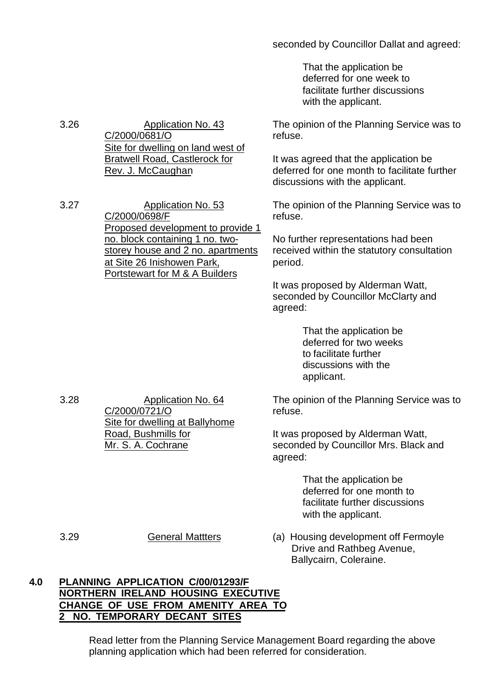## seconded by Councillor Dallat and agreed:

That the application be deferred for one week to facilitate further discussions with the applicant.

The opinion of the Planning Service was to refuse.

It was agreed that the application be deferred for one month to facilitate further discussions with the applicant.

The opinion of the Planning Service was to refuse.

No further representations had been received within the statutory consultation period.

It was proposed by Alderman Watt, seconded by Councillor McClarty and agreed:

> That the application be deferred for two weeks to facilitate further discussions with the applicant.

The opinion of the Planning Service was to refuse.

It was proposed by Alderman Watt, seconded by Councillor Mrs. Black and agreed:

> That the application be deferred for one month to facilitate further discussions with the applicant.

3.29 General Mattters (a) Housing development off Fermoyle Drive and Rathbeg Avenue, Ballycairn, Coleraine.

## **4.0 PLANNING APPLICATION C/00/01293/F NORTHERN IRELAND HOUSING EXECUTIVE CHANGE OF USE FROM AMENITY AREA TO 2 NO. TEMPORARY DECANT SITES**

Read letter from the Planning Service Management Board regarding the above planning application which had been referred for consideration.

3.26 Application No. 43 C/2000/0681/O Site for dwelling on land west of Bratwell Road, Castlerock for Rev. J. McCaughan

3.27 Application No. 53 C/2000/0698/F Proposed development to provide 1 no. block containing 1 no. twostorey house and 2 no. apartments at Site 26 Inishowen Park, Portstewart for M & A Builders

3.28 Application No. 64 C/2000/0721/O Site for dwelling at Ballyhome Road, Bushmills for Mr. S. A. Cochrane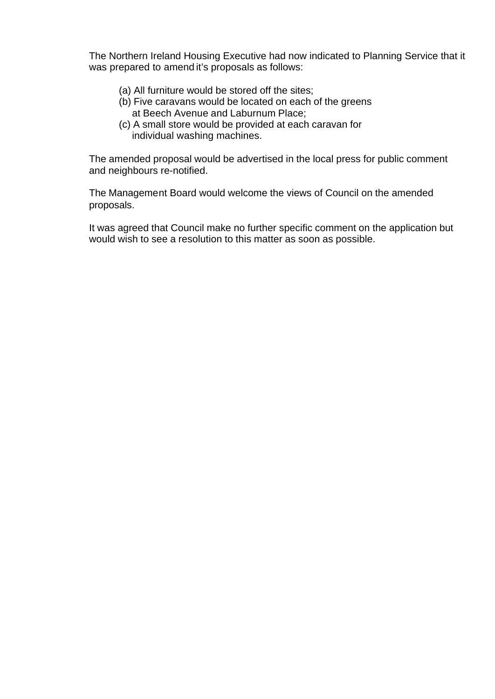The Northern Ireland Housing Executive had now indicated to Planning Service that it was prepared to amend it's proposals as follows:

- (a) All furniture would be stored off the sites;
- (b) Five caravans would be located on each of the greens at Beech Avenue and Laburnum Place;
- (c) A small store would be provided at each caravan for individual washing machines.

The amended proposal would be advertised in the local press for public comment and neighbours re-notified.

The Management Board would welcome the views of Council on the amended proposals.

It was agreed that Council make no further specific comment on the application but would wish to see a resolution to this matter as soon as possible.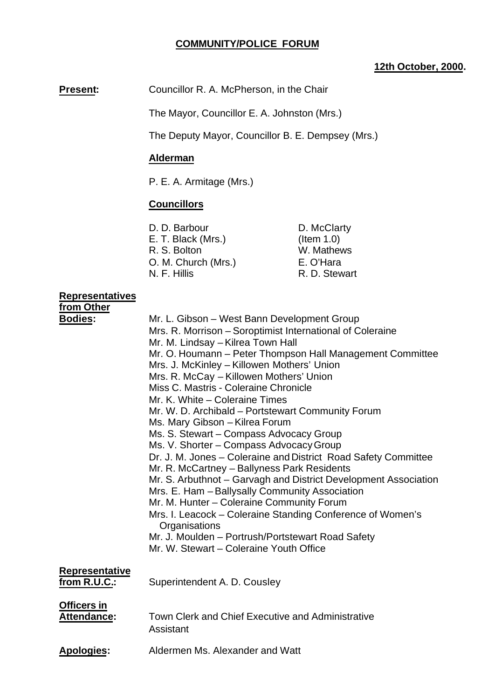# **COMMUNITY/POLICE FORUM**

## **12th October, 2000.**

**Present:** Councillor R. A. McPherson, in the Chair

The Mayor, Councillor E. A. Johnston (Mrs.)

The Deputy Mayor, Councillor B. E. Dempsey (Mrs.)

## **Alderman**

P. E. A. Armitage (Mrs.)

## **Councillors**

| D. D. Barbour       | D. McClarty   |
|---------------------|---------------|
| E. T. Black (Mrs.)  | $($ ltem 1.0) |
| R. S. Bolton        | W. Mathews    |
| O. M. Church (Mrs.) | E. O'Hara     |
| N. F. Hillis        | R. D. Stewart |
|                     |               |

# **Representatives**

| from Other                               |                                                                                                                                                                                                                                                                                                                                                                                                                                                                                                                                                                                                                                                                                                                                                                                                                                                                                                                                                                                                                               |
|------------------------------------------|-------------------------------------------------------------------------------------------------------------------------------------------------------------------------------------------------------------------------------------------------------------------------------------------------------------------------------------------------------------------------------------------------------------------------------------------------------------------------------------------------------------------------------------------------------------------------------------------------------------------------------------------------------------------------------------------------------------------------------------------------------------------------------------------------------------------------------------------------------------------------------------------------------------------------------------------------------------------------------------------------------------------------------|
| <b>Bodies:</b>                           | Mr. L. Gibson – West Bann Development Group<br>Mrs. R. Morrison - Soroptimist International of Coleraine<br>Mr. M. Lindsay - Kilrea Town Hall<br>Mr. O. Houmann - Peter Thompson Hall Management Committee<br>Mrs. J. McKinley - Killowen Mothers' Union<br>Mrs. R. McCay - Killowen Mothers' Union<br>Miss C. Mastris - Coleraine Chronicle<br>Mr. K. White - Coleraine Times<br>Mr. W. D. Archibald - Portstewart Community Forum<br>Ms. Mary Gibson - Kilrea Forum<br>Ms. S. Stewart - Compass Advocacy Group<br>Ms. V. Shorter - Compass Advocacy Group<br>Dr. J. M. Jones - Coleraine and District Road Safety Committee<br>Mr. R. McCartney - Ballyness Park Residents<br>Mr. S. Arbuthnot - Garvagh and District Development Association<br>Mrs. E. Ham - Ballysally Community Association<br>Mr. M. Hunter - Coleraine Community Forum<br>Mrs. I. Leacock – Coleraine Standing Conference of Women's<br>Organisations<br>Mr. J. Moulden - Portrush/Portstewart Road Safety<br>Mr. W. Stewart – Coleraine Youth Office |
| <b>Representative</b><br>from R.U.C.:    | Superintendent A. D. Cousley                                                                                                                                                                                                                                                                                                                                                                                                                                                                                                                                                                                                                                                                                                                                                                                                                                                                                                                                                                                                  |
|                                          |                                                                                                                                                                                                                                                                                                                                                                                                                                                                                                                                                                                                                                                                                                                                                                                                                                                                                                                                                                                                                               |
| <b>Officers in</b><br><b>Attendance:</b> | Town Clerk and Chief Executive and Administrative<br>Assistant                                                                                                                                                                                                                                                                                                                                                                                                                                                                                                                                                                                                                                                                                                                                                                                                                                                                                                                                                                |
| <b>Apologies:</b>                        | Aldermen Ms. Alexander and Watt                                                                                                                                                                                                                                                                                                                                                                                                                                                                                                                                                                                                                                                                                                                                                                                                                                                                                                                                                                                               |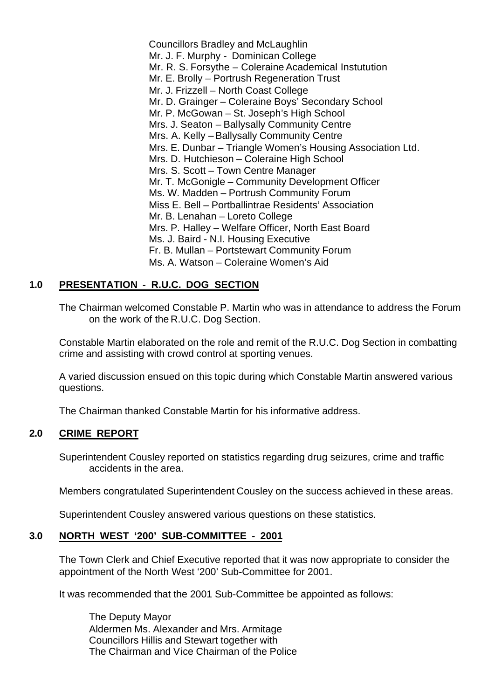Councillors Bradley and McLaughlin Mr. J. F. Murphy - Dominican College Mr. R. S. Forsythe – Coleraine Academical Instutution Mr. E. Brolly – Portrush Regeneration Trust Mr. J. Frizzell – North Coast College Mr. D. Grainger – Coleraine Boys' Secondary School Mr. P. McGowan – St. Joseph's High School Mrs. J. Seaton – Ballysally Community Centre Mrs. A. Kelly – Ballysally Community Centre Mrs. E. Dunbar – Triangle Women's Housing Association Ltd. Mrs. D. Hutchieson – Coleraine High School Mrs. S. Scott – Town Centre Manager Mr. T. McGonigle – Community Development Officer Ms. W. Madden – Portrush Community Forum Miss E. Bell – Portballintrae Residents' Association Mr. B. Lenahan – Loreto College Mrs. P. Halley – Welfare Officer, North East Board Ms. J. Baird - N.I. Housing Executive Fr. B. Mullan – Portstewart Community Forum Ms. A. Watson – Coleraine Women's Aid

## **1.0 PRESENTATION - R.U.C. DOG SECTION**

The Chairman welcomed Constable P. Martin who was in attendance to address the Forum on the work of the R.U.C. Dog Section.

Constable Martin elaborated on the role and remit of the R.U.C. Dog Section in combatting crime and assisting with crowd control at sporting venues.

A varied discussion ensued on this topic during which Constable Martin answered various questions.

The Chairman thanked Constable Martin for his informative address.

## **2.0 CRIME REPORT**

Superintendent Cousley reported on statistics regarding drug seizures, crime and traffic accidents in the area.

Members congratulated Superintendent Cousley on the success achieved in these areas.

Superintendent Cousley answered various questions on these statistics.

### **3.0 NORTH WEST '200' SUB-COMMITTEE - 2001**

The Town Clerk and Chief Executive reported that it was now appropriate to consider the appointment of the North West '200' Sub-Committee for 2001.

It was recommended that the 2001 Sub-Committee be appointed as follows:

The Deputy Mayor Aldermen Ms. Alexander and Mrs. Armitage Councillors Hillis and Stewart together with The Chairman and Vice Chairman of the Police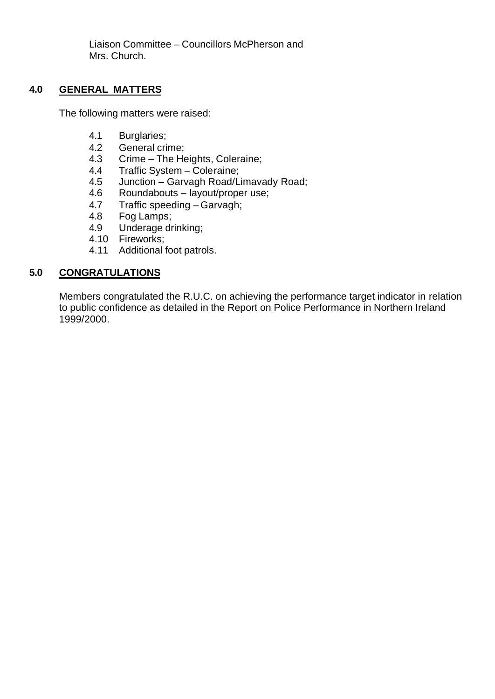Liaison Committee – Councillors McPherson and Mrs. Church.

## **4.0 GENERAL MATTERS**

The following matters were raised:

- 4.1 Burglaries;
- 4.2 General crime;
- 4.3 Crime The Heights, Coleraine;
- 4.4 Traffic System Coleraine;
- 4.5 Junction Garvagh Road/Limavady Road;
- 4.6 Roundabouts layout/proper use;
- 4.7 Traffic speeding Garvagh;
- 4.8 Fog Lamps;
- 4.9 Underage drinking;
- 4.10 Fireworks;
- 4.11 Additional foot patrols.

## **5.0 CONGRATULATIONS**

Members congratulated the R.U.C. on achieving the performance target indicator in relation to public confidence as detailed in the Report on Police Performance in Northern Ireland 1999/2000.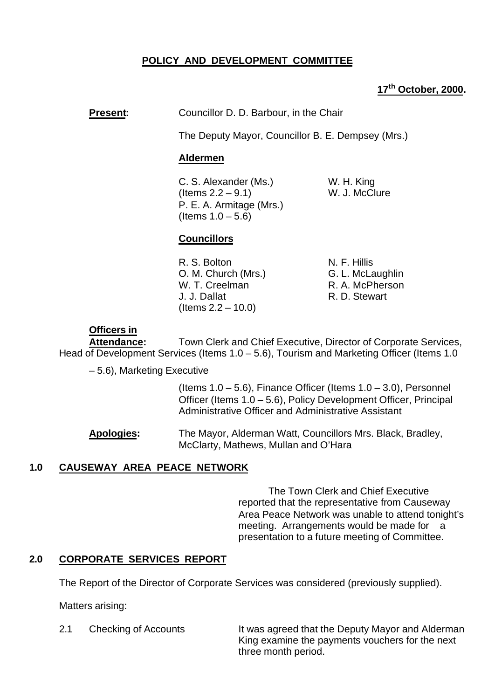# **POLICY AND DEVELOPMENT COMMITTEE**

# **17th October, 2000.**

## **Present:** Councillor D. D. Barbour, in the Chair

The Deputy Mayor, Councillor B. E. Dempsey (Mrs.)

## **Aldermen**

C. S. Alexander (Ms.) W. H. King  $($  Items  $2.2 - 9.1)$  W. J. McClure P. E. A. Armitage (Mrs.) (Items  $1.0 - 5.6$ )

## **Councillors**

R. S. Bolton N. F. Hillis O. M. Church (Mrs.) G. L. McLaughlin W. T. Creelman R. A. McPherson J. J. Dallat R. D. Stewart (Items 2.2 – 10.0)

## **Officers in**

**Attendance:** Town Clerk and Chief Executive, Director of Corporate Services, Head of Development Services (Items 1.0 – 5.6), Tourism and Marketing Officer (Items 1.0

– 5.6), Marketing Executive

(Items  $1.0 - 5.6$ ), Finance Officer (Items  $1.0 - 3.0$ ), Personnel Officer (Items 1.0 – 5.6), Policy Development Officer, Principal Administrative Officer and Administrative Assistant

**Apologies:** The Mayor, Alderman Watt, Councillors Mrs. Black, Bradley, McClarty, Mathews, Mullan and O'Hara

## **1.0 CAUSEWAY AREA PEACE NETWORK**

The Town Clerk and Chief Executive reported that the representative from Causeway Area Peace Network was unable to attend tonight's meeting. Arrangements would be made for a presentation to a future meeting of Committee.

## **2.0 CORPORATE SERVICES REPORT**

The Report of the Director of Corporate Services was considered (previously supplied).

Matters arising:

2.1 Checking of Accounts It was agreed that the Deputy Mayor and Alderman King examine the payments vouchers for the next three month period.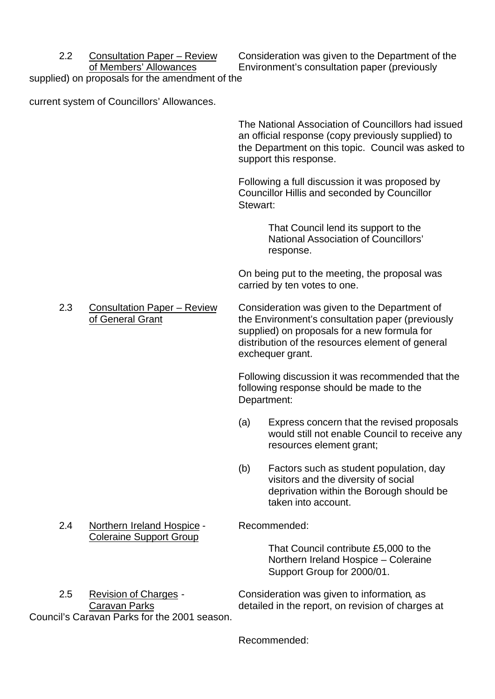2.2 Consultation Paper – Review Consideration was given to the Department of the of Members' Allowances Environment's consultation paper (previously

supplied) on proposals for the amendment of the

current system of Councillors' Allowances.

The National Association of Councillors had issued an official response (copy previously supplied) to the Department on this topic. Council was asked to support this response.

Following a full discussion it was proposed by Councillor Hillis and seconded by Councillor Stewart:

> That Council lend its support to the National Association of Councillors' response.

On being put to the meeting, the proposal was carried by ten votes to one.

2.3 Consultation Paper – Review Consideration was given to the Department of of General Grant the Environment's consultation paper (previously supplied) on proposals for a new formula for distribution of the resources element of general exchequer grant.

> Following discussion it was recommended that the following response should be made to the Department:

- (a) Express concern that the revised proposals would still not enable Council to receive any resources element grant;
- (b) Factors such as student population, day visitors and the diversity of social deprivation within the Borough should be taken into account.
- 

That Council contribute £5,000 to the Northern Ireland Hospice – Coleraine Support Group for 2000/01.

2.5 Revision of Charges - Consideration was given to information, as Caravan Parks **Caravan Parks** detailed in the report, on revision of charges at

2.4 Northern Ireland Hospice - Recommended: Coleraine Support Group

Council's Caravan Parks for the 2001 season.

Recommended: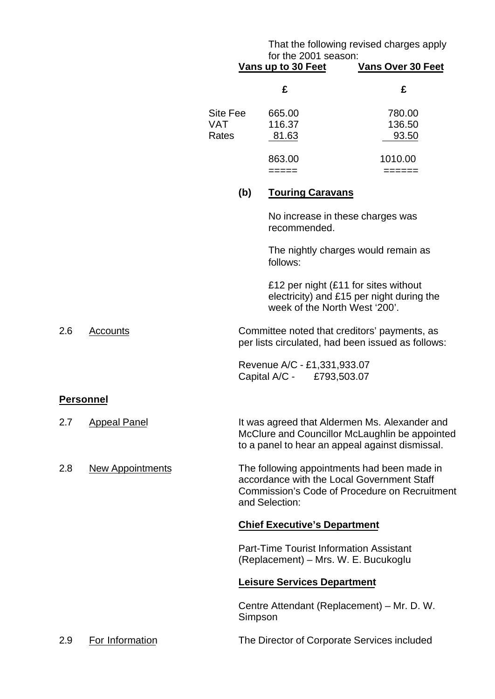## That the following revised charges apply for the 2001 season:

|     |                         |                                 |         | for the 2001 season:<br>Vans up to 30 Feet                                             | <b>Vans Over 30 Feet</b>                                                                                                                           |
|-----|-------------------------|---------------------------------|---------|----------------------------------------------------------------------------------------|----------------------------------------------------------------------------------------------------------------------------------------------------|
|     |                         |                                 |         | £                                                                                      | £                                                                                                                                                  |
|     |                         | Site Fee<br><b>VAT</b><br>Rates |         | 665.00<br>116.37<br>81.63                                                              | 780.00<br>136.50<br>93.50                                                                                                                          |
|     |                         |                                 |         | 863.00<br>=====                                                                        | 1010.00<br>======                                                                                                                                  |
|     |                         |                                 | (b)     | <b>Touring Caravans</b>                                                                |                                                                                                                                                    |
|     |                         |                                 |         | No increase in these charges was<br>recommended.                                       |                                                                                                                                                    |
|     |                         |                                 |         | follows:                                                                               | The nightly charges would remain as                                                                                                                |
|     |                         |                                 |         | £12 per night (£11 for sites without<br>week of the North West '200'.                  | electricity) and £15 per night during the                                                                                                          |
| 2.6 | Accounts                |                                 |         |                                                                                        | Committee noted that creditors' payments, as<br>per lists circulated, had been issued as follows:                                                  |
|     |                         |                                 |         | Revenue A/C - £1,331,933.07<br>Capital A/C - £793,503.07                               |                                                                                                                                                    |
|     | <b>Personnel</b>        |                                 |         |                                                                                        |                                                                                                                                                    |
| 2.7 | <b>Appeal Panel</b>     |                                 |         |                                                                                        | It was agreed that Aldermen Ms. Alexander and<br>McClure and Councillor McLaughlin be appointed<br>to a panel to hear an appeal against dismissal. |
| 2.8 | <b>New Appointments</b> |                                 |         | and Selection:                                                                         | The following appointments had been made in<br>accordance with the Local Government Staff<br>Commission's Code of Procedure on Recruitment         |
|     |                         |                                 |         | <b>Chief Executive's Department</b>                                                    |                                                                                                                                                    |
|     |                         |                                 |         | <b>Part-Time Tourist Information Assistant</b><br>(Replacement) – Mrs. W. E. Bucukoglu |                                                                                                                                                    |
|     |                         |                                 |         | <b>Leisure Services Department</b>                                                     |                                                                                                                                                    |
|     |                         |                                 | Simpson |                                                                                        | Centre Attendant (Replacement) – Mr. D. W.                                                                                                         |
| 2.9 | For Information         |                                 |         |                                                                                        | The Director of Corporate Services included                                                                                                        |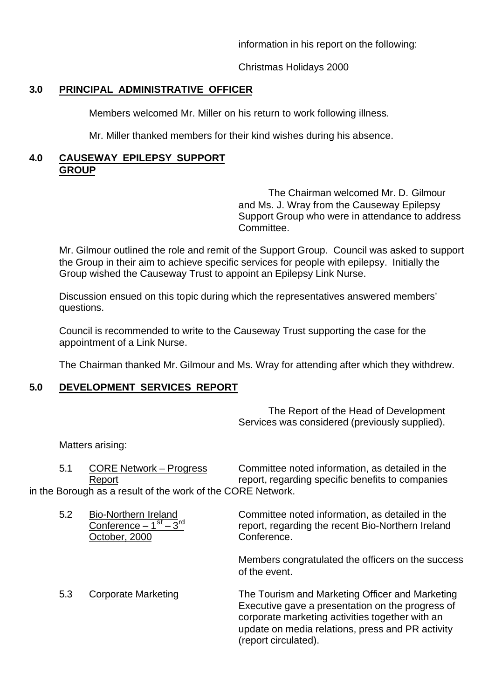information in his report on the following:

Christmas Holidays 2000

# **3.0 PRINCIPAL ADMINISTRATIVE OFFICER**

Members welcomed Mr. Miller on his return to work following illness.

Mr. Miller thanked members for their kind wishes during his absence.

## **4.0 CAUSEWAY EPILEPSY SUPPORT GROUP**

The Chairman welcomed Mr. D. Gilmour and Ms. J. Wray from the Causeway Epilepsy Support Group who were in attendance to address Committee.

Mr. Gilmour outlined the role and remit of the Support Group. Council was asked to support the Group in their aim to achieve specific services for people with epilepsy. Initially the Group wished the Causeway Trust to appoint an Epilepsy Link Nurse.

Discussion ensued on this topic during which the representatives answered members' questions.

Council is recommended to write to the Causeway Trust supporting the case for the appointment of a Link Nurse.

The Chairman thanked Mr. Gilmour and Ms. Wray for attending after which they withdrew.

# **5.0 DEVELOPMENT SERVICES REPORT**

The Report of the Head of Development Services was considered (previously supplied).

Matters arising:

| .51 | <b>CORE Network – Progress</b>                              | Committee noted information, as detailed in the  |  |  |  |  |  |
|-----|-------------------------------------------------------------|--------------------------------------------------|--|--|--|--|--|
|     | Report                                                      | report, regarding specific benefits to companies |  |  |  |  |  |
|     | in the Borough as a result of the work of the CORE Network. |                                                  |  |  |  |  |  |
|     |                                                             |                                                  |  |  |  |  |  |
| 52  | Bio-Northern Ireland                                        | Committee noted information, as detailed in the  |  |  |  |  |  |

|     | Conference $-1st - 3rd$<br>October, 2000 | report, regarding the recent Bio-Northern Ireland<br>Conference.                                                                                                                                                                   |
|-----|------------------------------------------|------------------------------------------------------------------------------------------------------------------------------------------------------------------------------------------------------------------------------------|
|     |                                          | Members congratulated the officers on the success<br>of the event.                                                                                                                                                                 |
| 5.3 | <b>Corporate Marketing</b>               | The Tourism and Marketing Officer and Marketing<br>Executive gave a presentation on the progress of<br>corporate marketing activities together with an<br>update on media relations, press and PR activity<br>(report circulated). |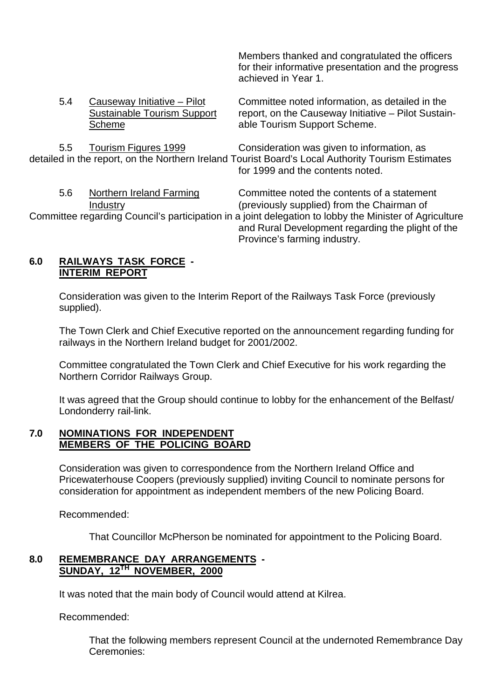Members thanked and congratulated the officers for their informative presentation and the progress achieved in Year 1.

| 5.4 | Causeway Initiative - Pilot<br><b>Sustainable Tourism Support</b><br>Scheme | Committee noted information, as detailed in the<br>report, on the Causeway Initiative - Pilot Sustain-<br>able Tourism Support Scheme.                                                      |
|-----|-----------------------------------------------------------------------------|---------------------------------------------------------------------------------------------------------------------------------------------------------------------------------------------|
| 5.5 | Tourism Figures 1999                                                        | Consideration was given to information, as<br>detailed in the report, on the Northern Ireland Tourist Board's Local Authority Tourism Estimates<br>for 1999 and the contents noted.         |
| 5.6 | Northern Ireland Farming<br>Industry                                        | Committee noted the contents of a statement<br>(previously supplied) from the Chairman of                                                                                                   |
|     |                                                                             | Committee regarding Council's participation in a joint delegation to lobby the Minister of Agriculture<br>and Rural Development regarding the plight of the<br>Province's farming industry. |

#### **6.0 RAILWAYS TASK FORCE - INTERIM REPORT**

Consideration was given to the Interim Report of the Railways Task Force (previously supplied).

The Town Clerk and Chief Executive reported on the announcement regarding funding for railways in the Northern Ireland budget for 2001/2002.

Committee congratulated the Town Clerk and Chief Executive for his work regarding the Northern Corridor Railways Group.

It was agreed that the Group should continue to lobby for the enhancement of the Belfast/ Londonderry rail-link.

## **7.0 NOMINATIONS FOR INDEPENDENT MEMBERS OF THE POLICING BOARD**

Consideration was given to correspondence from the Northern Ireland Office and Pricewaterhouse Coopers (previously supplied) inviting Council to nominate persons for consideration for appointment as independent members of the new Policing Board.

Recommended:

That Councillor McPherson be nominated for appointment to the Policing Board.

## **8.0 REMEMBRANCE DAY ARRANGEMENTS - SUNDAY, 12TH NOVEMBER, 2000**

It was noted that the main body of Council would attend at Kilrea.

Recommended:

That the following members represent Council at the undernoted Remembrance Day Ceremonies: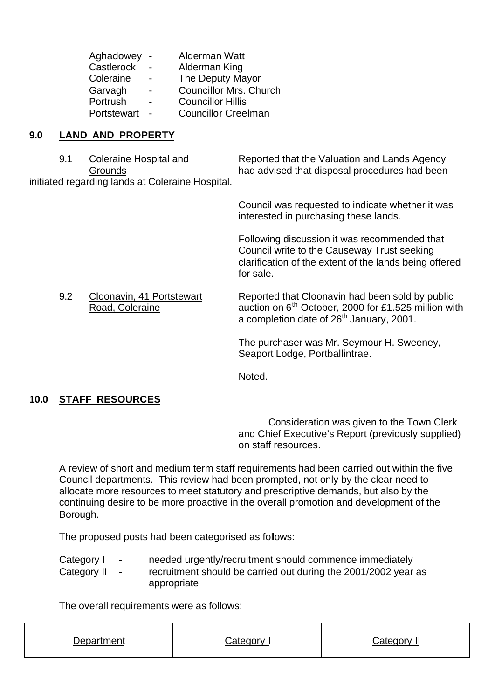| <b>Councillor Mrs. Church</b> |
|-------------------------------|
|                               |
| <b>Councillor Creelman</b>    |
|                               |

## **9.0 LAND AND PROPERTY**

9.1 Coleraine Hospital and Reported that the Valuation and Lands Agency Grounds had advised that disposal procedures had been initiated regarding lands at Coleraine Hospital.

> Council was requested to indicate whether it was interested in purchasing these lands.

Following discussion it was recommended that Council write to the Causeway Trust seeking clarification of the extent of the lands being offered for sale.

9.2 Cloonavin, 41 Portstewart Reported that Cloonavin had been sold by public Road, Coleraine auction on 6<sup>th</sup> October, 2000 for £1.525 million with a completion date of 26<sup>th</sup> January, 2001.

> The purchaser was Mr. Seymour H. Sweeney, Seaport Lodge, Portballintrae.

Noted.

# **10.0 STAFF RESOURCES**

Consideration was given to the Town Clerk and Chief Executive's Report (previously supplied) on staff resources.

A review of short and medium term staff requirements had been carried out within the five Council departments. This review had been prompted, not only by the clear need to allocate more resources to meet statutory and prescriptive demands, but also by the continuing desire to be more proactive in the overall promotion and development of the Borough.

The proposed posts had been categorised as follows:

Category I - needed urgently/recruitment should commence immediately Category II - recruitment should be carried out during the 2001/2002 year as appropriate

The overall requirements were as follows:

| Department | ∴ategory | `ategory. |
|------------|----------|-----------|
|            |          |           |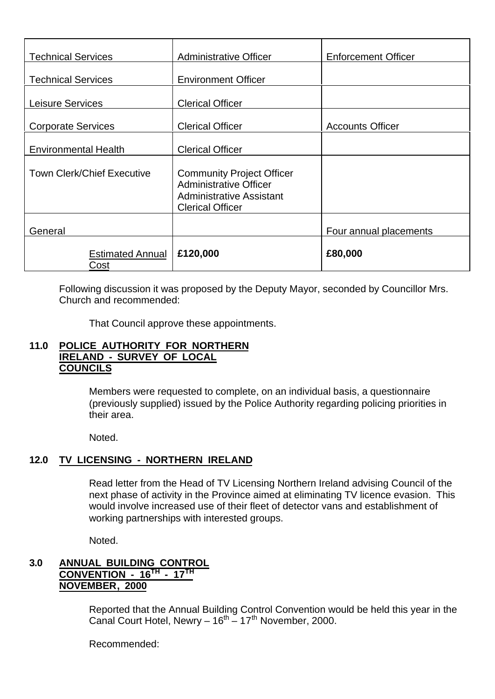| <b>Technical Services</b>         | <b>Administrative Officer</b>                                                                                                   | <b>Enforcement Officer</b> |  |
|-----------------------------------|---------------------------------------------------------------------------------------------------------------------------------|----------------------------|--|
| <b>Technical Services</b>         | <b>Environment Officer</b>                                                                                                      |                            |  |
| Leisure Services                  | <b>Clerical Officer</b>                                                                                                         |                            |  |
| <b>Corporate Services</b>         | <b>Clerical Officer</b>                                                                                                         | <b>Accounts Officer</b>    |  |
| <b>Environmental Health</b>       | <b>Clerical Officer</b>                                                                                                         |                            |  |
| <b>Town Clerk/Chief Executive</b> | <b>Community Project Officer</b><br><b>Administrative Officer</b><br><b>Administrative Assistant</b><br><b>Clerical Officer</b> |                            |  |
| General                           |                                                                                                                                 | Four annual placements     |  |
| <b>Estimated Annual</b><br>Cost   | £120,000                                                                                                                        | £80,000                    |  |

Following discussion it was proposed by the Deputy Mayor, seconded by Councillor Mrs. Church and recommended:

That Council approve these appointments.

## **11.0 POLICE AUTHORITY FOR NORTHERN IRELAND - SURVEY OF LOCAL COUNCILS**

Members were requested to complete, on an individual basis, a questionnaire (previously supplied) issued by the Police Authority regarding policing priorities in their area.

Noted.

## **12.0 TV LICENSING - NORTHERN IRELAND**

Read letter from the Head of TV Licensing Northern Ireland advising Council of the next phase of activity in the Province aimed at eliminating TV licence evasion. This would involve increased use of their fleet of detector vans and establishment of working partnerships with interested groups.

Noted.

## **3.0 ANNUAL BUILDING CONTROL CONVENTION - 16TH - 17TH NOVEMBER, 2000**

Reported that the Annual Building Control Convention would be held this year in the Canal Court Hotel, Newry – 16th – 17th November, 2000.

Recommended: